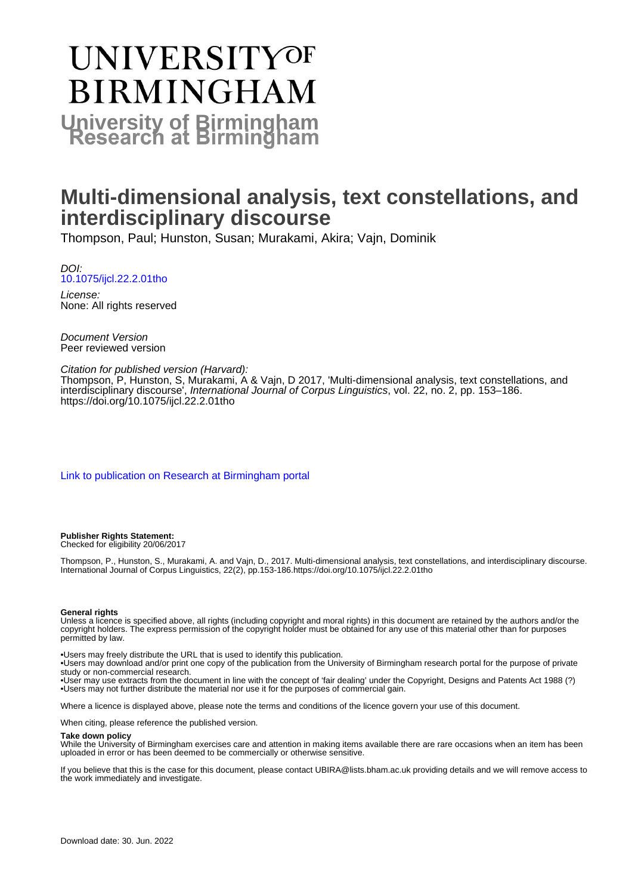# **UNIVERSITYOF BIRMINGHAM University of Birmingham**

# **Multi-dimensional analysis, text constellations, and interdisciplinary discourse**

Thompson, Paul; Hunston, Susan; Murakami, Akira; Vajn, Dominik

DOI: [10.1075/ijcl.22.2.01tho](https://doi.org/10.1075/ijcl.22.2.01tho)

License: None: All rights reserved

Document Version Peer reviewed version

#### Citation for published version (Harvard):

Thompson, P, Hunston, S, Murakami, A & Vajn, D 2017, 'Multi-dimensional analysis, text constellations, and interdisciplinary discourse', International Journal of Corpus Linguistics, vol. 22, no. 2, pp. 153–186. <https://doi.org/10.1075/ijcl.22.2.01tho>

[Link to publication on Research at Birmingham portal](https://birmingham.elsevierpure.com/en/publications/156b3f08-1e97-4410-ac3a-d9f9fd4fe8be)

#### **Publisher Rights Statement:**

Checked for eligibility 20/06/2017

Thompson, P., Hunston, S., Murakami, A. and Vajn, D., 2017. Multi-dimensional analysis, text constellations, and interdisciplinary discourse. International Journal of Corpus Linguistics, 22(2), pp.153-186.https://doi.org/10.1075/ijcl.22.2.01tho

#### **General rights**

Unless a licence is specified above, all rights (including copyright and moral rights) in this document are retained by the authors and/or the copyright holders. The express permission of the copyright holder must be obtained for any use of this material other than for purposes permitted by law.

• Users may freely distribute the URL that is used to identify this publication.

• Users may download and/or print one copy of the publication from the University of Birmingham research portal for the purpose of private study or non-commercial research.

• User may use extracts from the document in line with the concept of 'fair dealing' under the Copyright, Designs and Patents Act 1988 (?) • Users may not further distribute the material nor use it for the purposes of commercial gain.

Where a licence is displayed above, please note the terms and conditions of the licence govern your use of this document.

When citing, please reference the published version.

#### **Take down policy**

While the University of Birmingham exercises care and attention in making items available there are rare occasions when an item has been uploaded in error or has been deemed to be commercially or otherwise sensitive.

If you believe that this is the case for this document, please contact UBIRA@lists.bham.ac.uk providing details and we will remove access to the work immediately and investigate.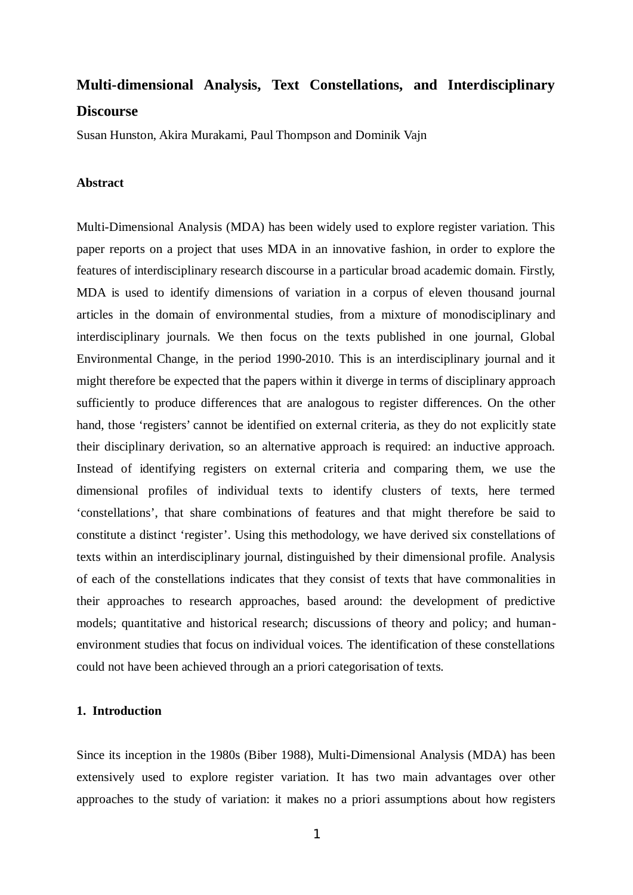# **Multi-dimensional Analysis, Text Constellations, and Interdisciplinary Discourse**

Susan Hunston, Akira Murakami, Paul Thompson and Dominik Vajn

### **Abstract**

Multi-Dimensional Analysis (MDA) has been widely used to explore register variation. This paper reports on a project that uses MDA in an innovative fashion, in order to explore the features of interdisciplinary research discourse in a particular broad academic domain. Firstly, MDA is used to identify dimensions of variation in a corpus of eleven thousand journal articles in the domain of environmental studies, from a mixture of monodisciplinary and interdisciplinary journals. We then focus on the texts published in one journal, Global Environmental Change, in the period 1990-2010. This is an interdisciplinary journal and it might therefore be expected that the papers within it diverge in terms of disciplinary approach sufficiently to produce differences that are analogous to register differences. On the other hand, those 'registers' cannot be identified on external criteria, as they do not explicitly state their disciplinary derivation, so an alternative approach is required: an inductive approach. Instead of identifying registers on external criteria and comparing them, we use the dimensional profiles of individual texts to identify clusters of texts, here termed 'constellations', that share combinations of features and that might therefore be said to constitute a distinct 'register'. Using this methodology, we have derived six constellations of texts within an interdisciplinary journal, distinguished by their dimensional profile. Analysis of each of the constellations indicates that they consist of texts that have commonalities in their approaches to research approaches, based around: the development of predictive models; quantitative and historical research; discussions of theory and policy; and humanenvironment studies that focus on individual voices. The identification of these constellations could not have been achieved through an a priori categorisation of texts.

### **1. Introduction**

Since its inception in the 1980s (Biber 1988), Multi-Dimensional Analysis (MDA) has been extensively used to explore register variation. It has two main advantages over other approaches to the study of variation: it makes no a priori assumptions about how registers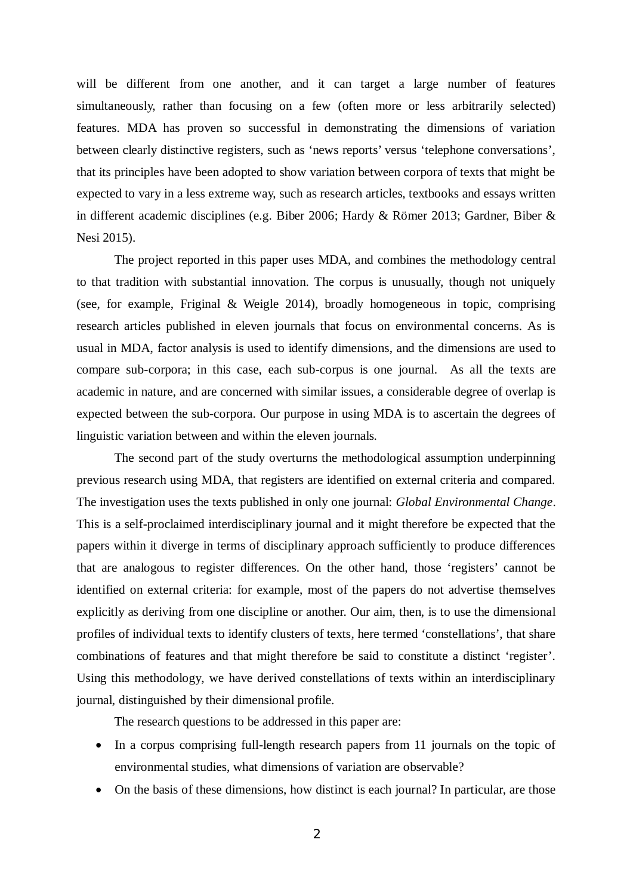will be different from one another, and it can target a large number of features simultaneously, rather than focusing on a few (often more or less arbitrarily selected) features. MDA has proven so successful in demonstrating the dimensions of variation between clearly distinctive registers, such as 'news reports' versus 'telephone conversations', that its principles have been adopted to show variation between corpora of texts that might be expected to vary in a less extreme way, such as research articles, textbooks and essays written in different academic disciplines (e.g. Biber 2006; Hardy & Römer 2013; Gardner, Biber & Nesi 2015).

The project reported in this paper uses MDA, and combines the methodology central to that tradition with substantial innovation. The corpus is unusually, though not uniquely (see, for example, Friginal & Weigle 2014), broadly homogeneous in topic, comprising research articles published in eleven journals that focus on environmental concerns. As is usual in MDA, factor analysis is used to identify dimensions, and the dimensions are used to compare sub-corpora; in this case, each sub-corpus is one journal. As all the texts are academic in nature, and are concerned with similar issues, a considerable degree of overlap is expected between the sub-corpora. Our purpose in using MDA is to ascertain the degrees of linguistic variation between and within the eleven journals.

The second part of the study overturns the methodological assumption underpinning previous research using MDA, that registers are identified on external criteria and compared. The investigation uses the texts published in only one journal: *Global Environmental Change*. This is a self-proclaimed interdisciplinary journal and it might therefore be expected that the papers within it diverge in terms of disciplinary approach sufficiently to produce differences that are analogous to register differences. On the other hand, those 'registers' cannot be identified on external criteria: for example, most of the papers do not advertise themselves explicitly as deriving from one discipline or another. Our aim, then, is to use the dimensional profiles of individual texts to identify clusters of texts, here termed 'constellations', that share combinations of features and that might therefore be said to constitute a distinct 'register'. Using this methodology, we have derived constellations of texts within an interdisciplinary journal, distinguished by their dimensional profile.

The research questions to be addressed in this paper are:

- In a corpus comprising full-length research papers from 11 journals on the topic of environmental studies, what dimensions of variation are observable?
- On the basis of these dimensions, how distinct is each journal? In particular, are those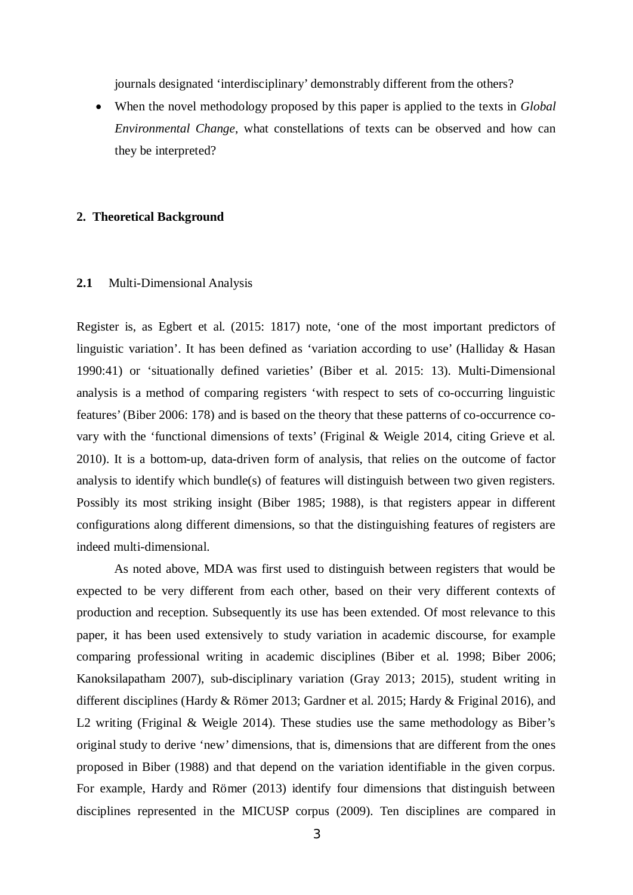journals designated 'interdisciplinary' demonstrably different from the others?

· When the novel methodology proposed by this paper is applied to the texts in *Global Environmental Change*, what constellations of texts can be observed and how can they be interpreted?

#### **2. Theoretical Background**

#### **2.1** Multi-Dimensional Analysis

Register is, as Egbert et al. (2015: 1817) note, 'one of the most important predictors of linguistic variation'. It has been defined as 'variation according to use' (Halliday & Hasan 1990:41) or 'situationally defined varieties' (Biber et al. 2015: 13). Multi-Dimensional analysis is a method of comparing registers 'with respect to sets of co-occurring linguistic features' (Biber 2006: 178) and is based on the theory that these patterns of co-occurrence covary with the 'functional dimensions of texts' (Friginal & Weigle 2014, citing Grieve et al. 2010). It is a bottom-up, data-driven form of analysis, that relies on the outcome of factor analysis to identify which bundle(s) of features will distinguish between two given registers. Possibly its most striking insight (Biber 1985; 1988), is that registers appear in different configurations along different dimensions, so that the distinguishing features of registers are indeed multi-dimensional.

As noted above, MDA was first used to distinguish between registers that would be expected to be very different from each other, based on their very different contexts of production and reception. Subsequently its use has been extended. Of most relevance to this paper, it has been used extensively to study variation in academic discourse, for example comparing professional writing in academic disciplines (Biber et al. 1998; Biber 2006; Kanoksilapatham 2007), sub-disciplinary variation (Gray 2013; 2015), student writing in different disciplines (Hardy & Römer 2013; Gardner et al. 2015; Hardy & Friginal 2016), and L2 writing (Friginal & Weigle 2014). These studies use the same methodology as Biber's original study to derive 'new' dimensions, that is, dimensions that are different from the ones proposed in Biber (1988) and that depend on the variation identifiable in the given corpus. For example, Hardy and Römer (2013) identify four dimensions that distinguish between disciplines represented in the MICUSP corpus (2009). Ten disciplines are compared in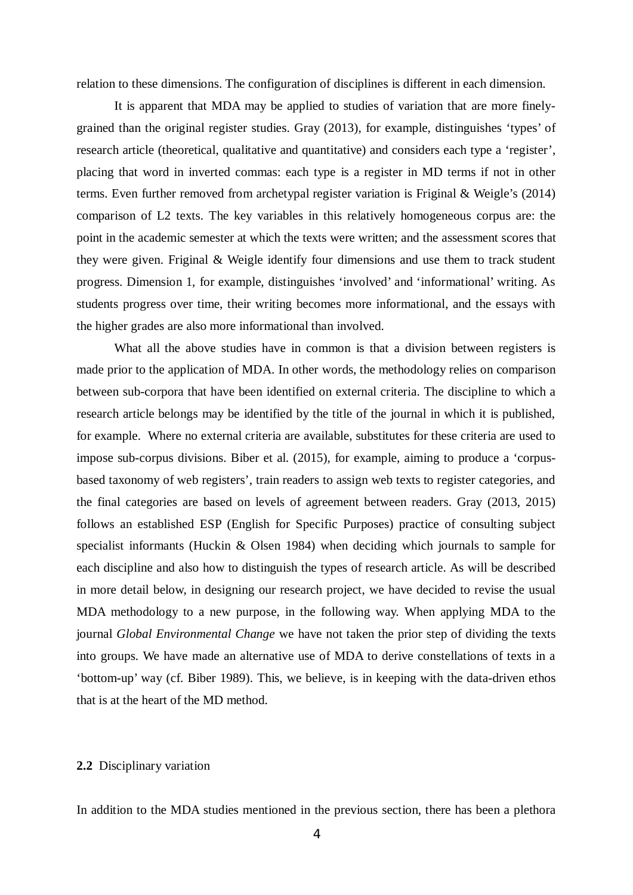relation to these dimensions. The configuration of disciplines is different in each dimension.

It is apparent that MDA may be applied to studies of variation that are more finelygrained than the original register studies. Gray (2013), for example, distinguishes 'types' of research article (theoretical, qualitative and quantitative) and considers each type a 'register', placing that word in inverted commas: each type is a register in MD terms if not in other terms. Even further removed from archetypal register variation is Friginal & Weigle's (2014) comparison of L2 texts. The key variables in this relatively homogeneous corpus are: the point in the academic semester at which the texts were written; and the assessment scores that they were given. Friginal & Weigle identify four dimensions and use them to track student progress. Dimension 1, for example, distinguishes 'involved' and 'informational' writing. As students progress over time, their writing becomes more informational, and the essays with the higher grades are also more informational than involved.

What all the above studies have in common is that a division between registers is made prior to the application of MDA. In other words, the methodology relies on comparison between sub-corpora that have been identified on external criteria. The discipline to which a research article belongs may be identified by the title of the journal in which it is published, for example. Where no external criteria are available, substitutes for these criteria are used to impose sub-corpus divisions. Biber et al. (2015), for example, aiming to produce a 'corpusbased taxonomy of web registers', train readers to assign web texts to register categories, and the final categories are based on levels of agreement between readers. Gray (2013, 2015) follows an established ESP (English for Specific Purposes) practice of consulting subject specialist informants (Huckin & Olsen 1984) when deciding which journals to sample for each discipline and also how to distinguish the types of research article. As will be described in more detail below, in designing our research project, we have decided to revise the usual MDA methodology to a new purpose, in the following way. When applying MDA to the journal *Global Environmental Change* we have not taken the prior step of dividing the texts into groups. We have made an alternative use of MDA to derive constellations of texts in a 'bottom-up' way (cf. Biber 1989). This, we believe, is in keeping with the data-driven ethos that is at the heart of the MD method.

### **2.2** Disciplinary variation

In addition to the MDA studies mentioned in the previous section, there has been a plethora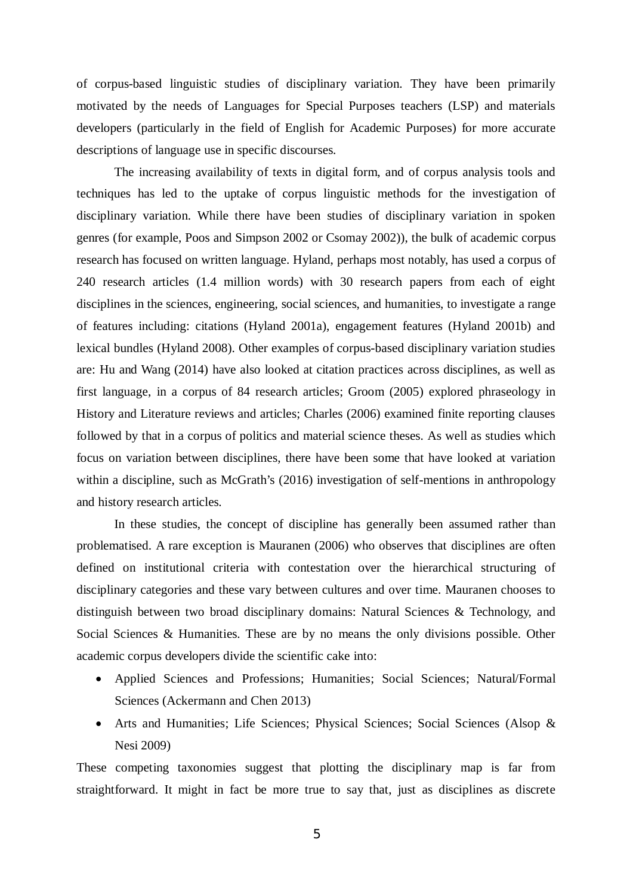of corpus-based linguistic studies of disciplinary variation. They have been primarily motivated by the needs of Languages for Special Purposes teachers (LSP) and materials developers (particularly in the field of English for Academic Purposes) for more accurate descriptions of language use in specific discourses.

The increasing availability of texts in digital form, and of corpus analysis tools and techniques has led to the uptake of corpus linguistic methods for the investigation of disciplinary variation. While there have been studies of disciplinary variation in spoken genres (for example, Poos and Simpson 2002 or Csomay 2002)), the bulk of academic corpus research has focused on written language. Hyland, perhaps most notably, has used a corpus of 240 research articles (1.4 million words) with 30 research papers from each of eight disciplines in the sciences, engineering, social sciences, and humanities, to investigate a range of features including: citations (Hyland 2001a), engagement features (Hyland 2001b) and lexical bundles (Hyland 2008). Other examples of corpus-based disciplinary variation studies are: Hu and Wang (2014) have also looked at citation practices across disciplines, as well as first language, in a corpus of 84 research articles; Groom (2005) explored phraseology in History and Literature reviews and articles; Charles (2006) examined finite reporting clauses followed by that in a corpus of politics and material science theses. As well as studies which focus on variation between disciplines, there have been some that have looked at variation within a discipline, such as McGrath's (2016) investigation of self-mentions in anthropology and history research articles.

In these studies, the concept of discipline has generally been assumed rather than problematised. A rare exception is Mauranen (2006) who observes that disciplines are often defined on institutional criteria with contestation over the hierarchical structuring of disciplinary categories and these vary between cultures and over time. Mauranen chooses to distinguish between two broad disciplinary domains: Natural Sciences & Technology, and Social Sciences & Humanities. These are by no means the only divisions possible. Other academic corpus developers divide the scientific cake into:

- · Applied Sciences and Professions; Humanities; Social Sciences; Natural/Formal Sciences (Ackermann and Chen 2013)
- Arts and Humanities; Life Sciences; Physical Sciences; Social Sciences (Alsop & Nesi 2009)

These competing taxonomies suggest that plotting the disciplinary map is far from straightforward. It might in fact be more true to say that, just as disciplines as discrete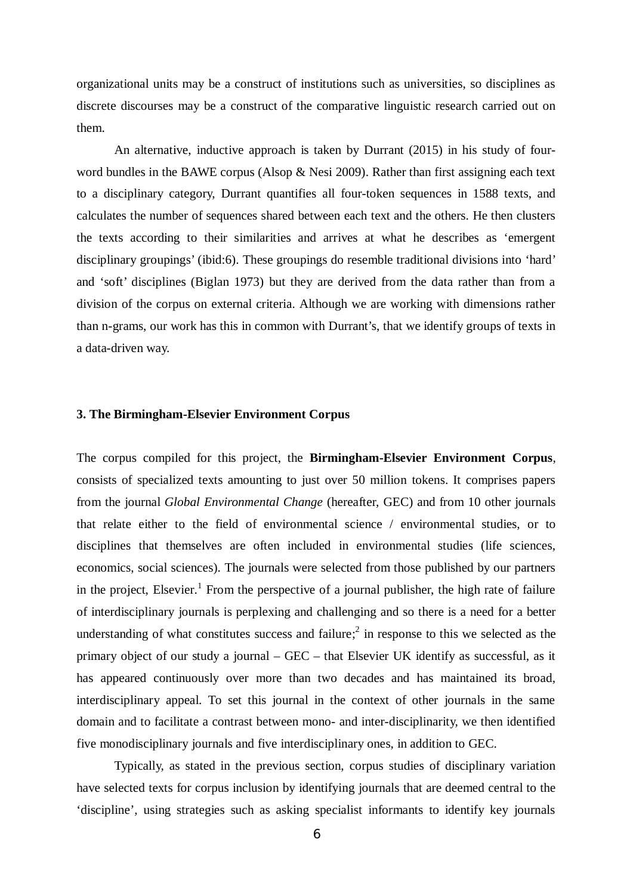organizational units may be a construct of institutions such as universities, so disciplines as discrete discourses may be a construct of the comparative linguistic research carried out on them.

An alternative, inductive approach is taken by Durrant (2015) in his study of fourword bundles in the BAWE corpus (Alsop & Nesi 2009). Rather than first assigning each text to a disciplinary category, Durrant quantifies all four-token sequences in 1588 texts, and calculates the number of sequences shared between each text and the others. He then clusters the texts according to their similarities and arrives at what he describes as 'emergent disciplinary groupings' (ibid:6). These groupings do resemble traditional divisions into 'hard' and 'soft' disciplines (Biglan 1973) but they are derived from the data rather than from a division of the corpus on external criteria. Although we are working with dimensions rather than n-grams, our work has this in common with Durrant's, that we identify groups of texts in a data-driven way.

#### **3. The Birmingham-Elsevier Environment Corpus**

The corpus compiled for this project, the **Birmingham-Elsevier Environment Corpus**, consists of specialized texts amounting to just over 50 million tokens. It comprises papers from the journal *Global Environmental Change* (hereafter, GEC) and from 10 other journals that relate either to the field of environmental science / environmental studies, or to disciplines that themselves are often included in environmental studies (life sciences, economics, social sciences). The journals were selected from those published by our partners in the project, Elsevier.<sup>1</sup> From the perspective of a journal publisher, the high rate of failure of interdisciplinary journals is perplexing and challenging and so there is a need for a better understanding of what constitutes success and failure; $\hat{i}$  in response to this we selected as the primary object of our study a journal – GEC – that Elsevier UK identify as successful, as it has appeared continuously over more than two decades and has maintained its broad, interdisciplinary appeal. To set this journal in the context of other journals in the same domain and to facilitate a contrast between mono- and inter-disciplinarity, we then identified five monodisciplinary journals and five interdisciplinary ones, in addition to GEC.

Typically, as stated in the previous section, corpus studies of disciplinary variation have selected texts for corpus inclusion by identifying journals that are deemed central to the 'discipline', using strategies such as asking specialist informants to identify key journals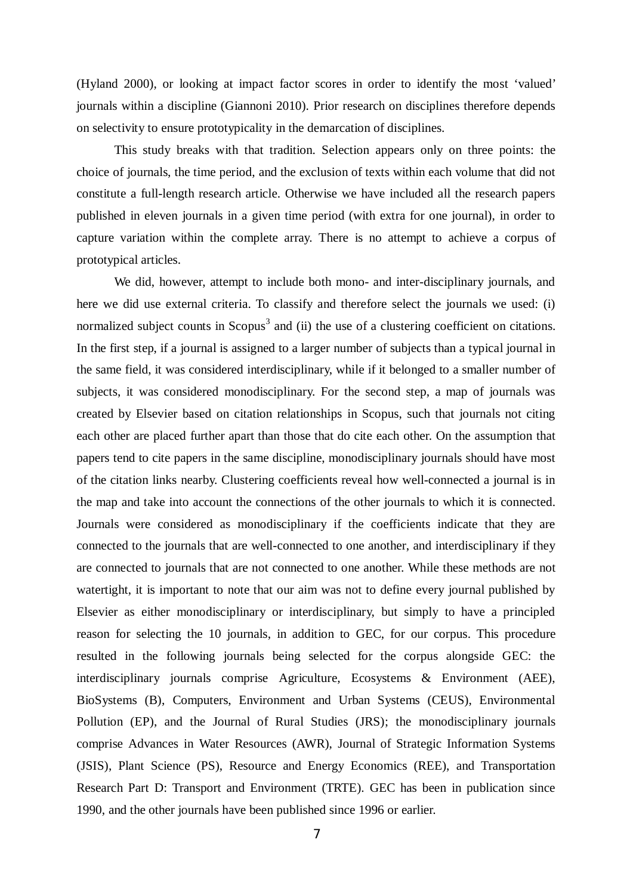(Hyland 2000), or looking at impact factor scores in order to identify the most 'valued' journals within a discipline (Giannoni 2010). Prior research on disciplines therefore depends on selectivity to ensure prototypicality in the demarcation of disciplines.

This study breaks with that tradition. Selection appears only on three points: the choice of journals, the time period, and the exclusion of texts within each volume that did not constitute a full-length research article. Otherwise we have included all the research papers published in eleven journals in a given time period (with extra for one journal), in order to capture variation within the complete array. There is no attempt to achieve a corpus of prototypical articles.

We did, however, attempt to include both mono- and inter-disciplinary journals, and here we did use external criteria. To classify and therefore select the journals we used: (i) normalized subject counts in Scopus<sup>3</sup> and (ii) the use of a clustering coefficient on citations. In the first step, if a journal is assigned to a larger number of subjects than a typical journal in the same field, it was considered interdisciplinary, while if it belonged to a smaller number of subjects, it was considered monodisciplinary. For the second step, a map of journals was created by Elsevier based on citation relationships in Scopus, such that journals not citing each other are placed further apart than those that do cite each other. On the assumption that papers tend to cite papers in the same discipline, monodisciplinary journals should have most of the citation links nearby. Clustering coefficients reveal how well-connected a journal is in the map and take into account the connections of the other journals to which it is connected. Journals were considered as monodisciplinary if the coefficients indicate that they are connected to the journals that are well-connected to one another, and interdisciplinary if they are connected to journals that are not connected to one another. While these methods are not watertight, it is important to note that our aim was not to define every journal published by Elsevier as either monodisciplinary or interdisciplinary, but simply to have a principled reason for selecting the 10 journals, in addition to GEC, for our corpus. This procedure resulted in the following journals being selected for the corpus alongside GEC: the interdisciplinary journals comprise Agriculture, Ecosystems & Environment (AEE), BioSystems (B), Computers, Environment and Urban Systems (CEUS), Environmental Pollution (EP), and the Journal of Rural Studies (JRS); the monodisciplinary journals comprise Advances in Water Resources (AWR), Journal of Strategic Information Systems (JSIS), Plant Science (PS), Resource and Energy Economics (REE), and Transportation Research Part D: Transport and Environment (TRTE). GEC has been in publication since 1990, and the other journals have been published since 1996 or earlier.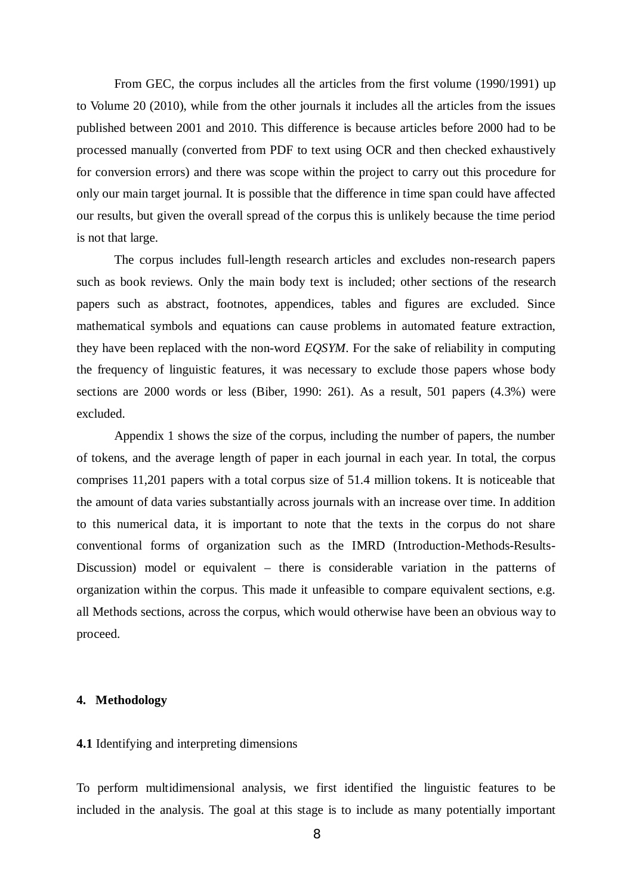From GEC, the corpus includes all the articles from the first volume (1990/1991) up to Volume 20 (2010), while from the other journals it includes all the articles from the issues published between 2001 and 2010. This difference is because articles before 2000 had to be processed manually (converted from PDF to text using OCR and then checked exhaustively for conversion errors) and there was scope within the project to carry out this procedure for only our main target journal. It is possible that the difference in time span could have affected our results, but given the overall spread of the corpus this is unlikely because the time period is not that large.

The corpus includes full-length research articles and excludes non-research papers such as book reviews. Only the main body text is included; other sections of the research papers such as abstract, footnotes, appendices, tables and figures are excluded. Since mathematical symbols and equations can cause problems in automated feature extraction, they have been replaced with the non-word *EQSYM*. For the sake of reliability in computing the frequency of linguistic features, it was necessary to exclude those papers whose body sections are 2000 words or less (Biber, 1990: 261). As a result, 501 papers (4.3%) were excluded.

Appendix 1 shows the size of the corpus, including the number of papers, the number of tokens, and the average length of paper in each journal in each year. In total, the corpus comprises 11,201 papers with a total corpus size of 51.4 million tokens. It is noticeable that the amount of data varies substantially across journals with an increase over time. In addition to this numerical data, it is important to note that the texts in the corpus do not share conventional forms of organization such as the IMRD (Introduction-Methods-Results-Discussion) model or equivalent – there is considerable variation in the patterns of organization within the corpus. This made it unfeasible to compare equivalent sections, e.g. all Methods sections, across the corpus, which would otherwise have been an obvious way to proceed.

#### **4. Methodology**

#### **4.1** Identifying and interpreting dimensions

To perform multidimensional analysis, we first identified the linguistic features to be included in the analysis. The goal at this stage is to include as many potentially important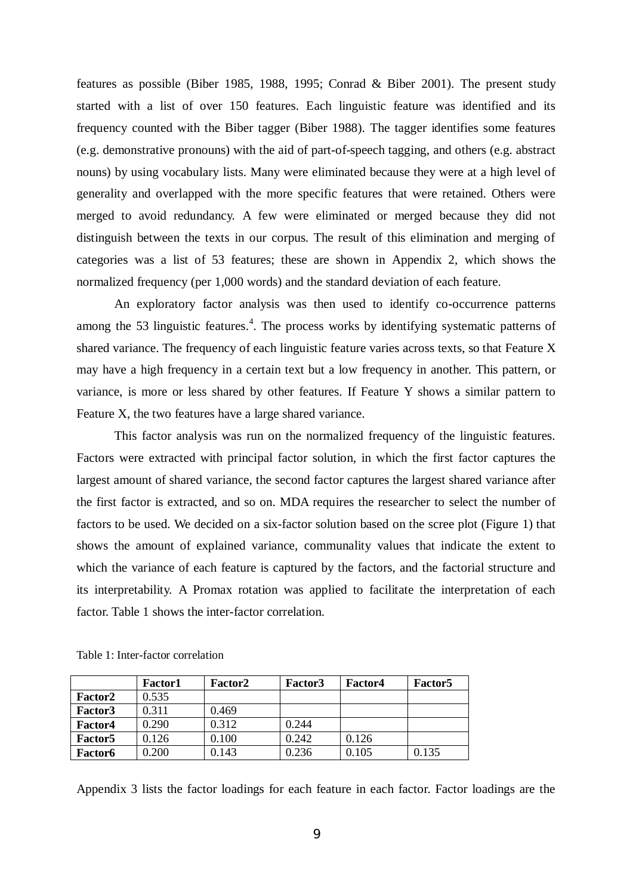features as possible (Biber 1985, 1988, 1995; Conrad & Biber 2001). The present study started with a list of over 150 features. Each linguistic feature was identified and its frequency counted with the Biber tagger (Biber 1988). The tagger identifies some features (e.g. demonstrative pronouns) with the aid of part-of-speech tagging, and others (e.g. abstract nouns) by using vocabulary lists. Many were eliminated because they were at a high level of generality and overlapped with the more specific features that were retained. Others were merged to avoid redundancy. A few were eliminated or merged because they did not distinguish between the texts in our corpus. The result of this elimination and merging of categories was a list of 53 features; these are shown in Appendix 2, which shows the normalized frequency (per 1,000 words) and the standard deviation of each feature.

An exploratory factor analysis was then used to identify co-occurrence patterns among the 53 linguistic features.<sup>4</sup>. The process works by identifying systematic patterns of shared variance. The frequency of each linguistic feature varies across texts, so that Feature X may have a high frequency in a certain text but a low frequency in another. This pattern, or variance, is more or less shared by other features. If Feature Y shows a similar pattern to Feature X, the two features have a large shared variance.

This factor analysis was run on the normalized frequency of the linguistic features. Factors were extracted with principal factor solution, in which the first factor captures the largest amount of shared variance, the second factor captures the largest shared variance after the first factor is extracted, and so on. MDA requires the researcher to select the number of factors to be used. We decided on a six-factor solution based on the scree plot (Figure 1) that shows the amount of explained variance, communality values that indicate the extent to which the variance of each feature is captured by the factors, and the factorial structure and its interpretability. A Promax rotation was applied to facilitate the interpretation of each factor. Table 1 shows the inter-factor correlation.

|                     | <b>Factor1</b> | Factor2 | <b>Factor3</b> | <b>Factor4</b> | Factor <sub>5</sub> |
|---------------------|----------------|---------|----------------|----------------|---------------------|
| Factor2             | 0.535          |         |                |                |                     |
| Factor3             | 0.311          | 0.469   |                |                |                     |
| Factor4             | 0.290          | 0.312   | 0.244          |                |                     |
| Factor <sub>5</sub> | 0.126          | 0.100   | 0.242          | 0.126          |                     |
| <b>Factor6</b>      | 0.200          | 0.143   | 0.236          | 0.105          | 0.135               |

Table 1: Inter-factor correlation

Appendix 3 lists the factor loadings for each feature in each factor. Factor loadings are the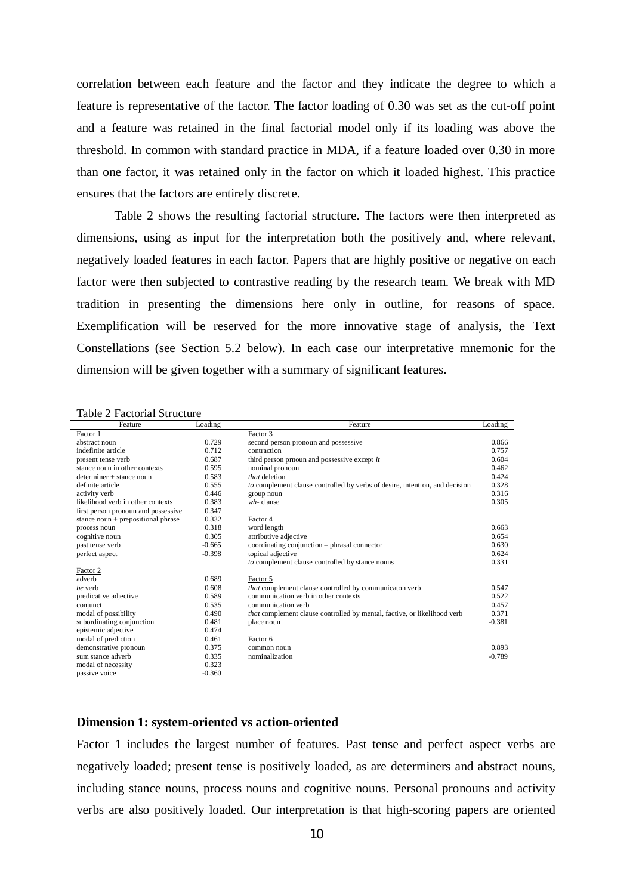correlation between each feature and the factor and they indicate the degree to which a feature is representative of the factor. The factor loading of 0.30 was set as the cut-off point and a feature was retained in the final factorial model only if its loading was above the threshold. In common with standard practice in MDA, if a feature loaded over 0.30 in more than one factor, it was retained only in the factor on which it loaded highest. This practice ensures that the factors are entirely discrete.

Table 2 shows the resulting factorial structure. The factors were then interpreted as dimensions, using as input for the interpretation both the positively and, where relevant, negatively loaded features in each factor. Papers that are highly positive or negative on each factor were then subjected to contrastive reading by the research team. We break with MD tradition in presenting the dimensions here only in outline, for reasons of space. Exemplification will be reserved for the more innovative stage of analysis, the Text Constellations (see Section 5.2 below). In each case our interpretative mnemonic for the dimension will be given together with a summary of significant features.

| Table 2 Factorial Structure |  |
|-----------------------------|--|
|-----------------------------|--|

| Feature                              | Loading  | Feature                                                                     | Loading  |
|--------------------------------------|----------|-----------------------------------------------------------------------------|----------|
| Factor 1                             |          | Factor 3                                                                    |          |
| abstract noun                        | 0.729    | second person pronoun and possessive                                        | 0.866    |
| indefinite article                   | 0.712    | contraction                                                                 | 0.757    |
| present tense verb                   | 0.687    | third person prnoun and possessive except it                                | 0.604    |
| stance noun in other contexts        | 0.595    | nominal pronoun                                                             | 0.462    |
| $determiner + share$ noun            | 0.583    | that deletion                                                               | 0.424    |
| definite article                     | 0.555    | to complement clause controlled by verbs of desire, intention, and decision | 0.328    |
| activity verb                        | 0.446    | group noun                                                                  | 0.316    |
| likelihood verb in other contexts    | 0.383    | $wh$ - clause                                                               | 0.305    |
| first person pronoun and possessive  | 0.347    |                                                                             |          |
| stance $noun + prepositional phrase$ | 0.332    | Factor 4                                                                    |          |
| process noun                         | 0.318    | word length                                                                 | 0.663    |
| cognitive noun                       | 0.305    | attributive adjective                                                       | 0.654    |
| past tense verb                      | $-0.665$ | coordinating conjunction – phrasal connector                                | 0.630    |
| perfect aspect                       | $-0.398$ | topical adjective                                                           | 0.624    |
|                                      |          | to complement clause controlled by stance nouns                             | 0.331    |
| Factor 2                             |          |                                                                             |          |
| adverb                               | 0.689    | Factor 5                                                                    |          |
| be verb                              | 0.608    | that complement clause controlled by communicaton verb                      | 0.547    |
| predicative adjective                | 0.589    | communication verb in other contexts                                        | 0.522    |
| conjunct                             | 0.535    | communication verb                                                          | 0.457    |
| modal of possibility                 | 0.490    | that complement clause controlled by mental, factive, or likelihood verb    | 0.371    |
| subordinating conjunction            | 0.481    | place noun                                                                  | $-0.381$ |
| epistemic adjective                  | 0.474    |                                                                             |          |
| modal of prediction                  | 0.461    | Factor 6                                                                    |          |
| demonstrative pronoun                | 0.375    | common noun                                                                 | 0.893    |
| sum stance adverb                    | 0.335    | nominalization                                                              | $-0.789$ |
| modal of necessity                   | 0.323    |                                                                             |          |
| passive voice                        | $-0.360$ |                                                                             |          |

#### **Dimension 1: system-oriented vs action-oriented**

Factor 1 includes the largest number of features. Past tense and perfect aspect verbs are negatively loaded; present tense is positively loaded, as are determiners and abstract nouns, including stance nouns, process nouns and cognitive nouns. Personal pronouns and activity verbs are also positively loaded. Our interpretation is that high-scoring papers are oriented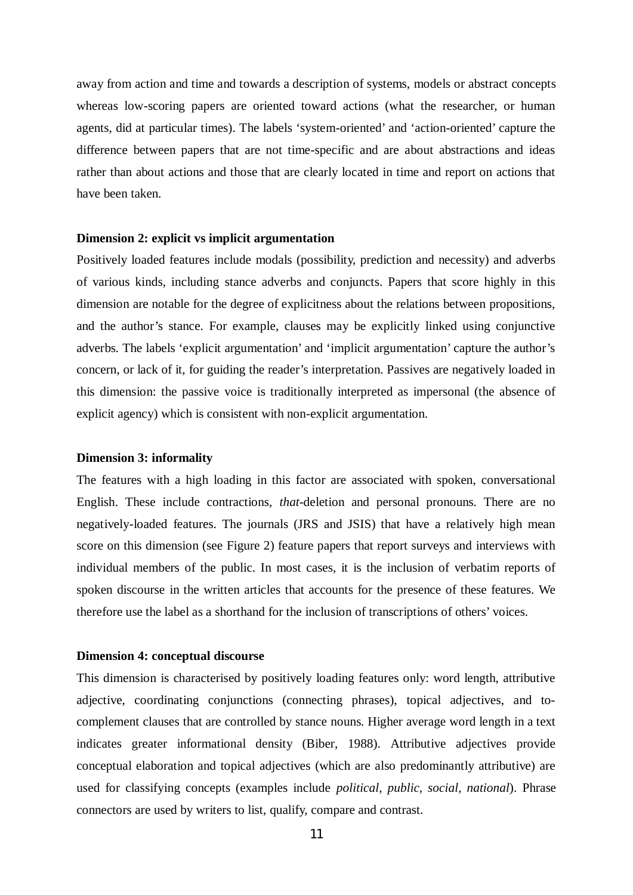away from action and time and towards a description of systems, models or abstract concepts whereas low-scoring papers are oriented toward actions (what the researcher, or human agents, did at particular times). The labels 'system-oriented' and 'action-oriented' capture the difference between papers that are not time-specific and are about abstractions and ideas rather than about actions and those that are clearly located in time and report on actions that have been taken.

#### **Dimension 2: explicit vs implicit argumentation**

Positively loaded features include modals (possibility, prediction and necessity) and adverbs of various kinds, including stance adverbs and conjuncts. Papers that score highly in this dimension are notable for the degree of explicitness about the relations between propositions, and the author's stance. For example, clauses may be explicitly linked using conjunctive adverbs. The labels 'explicit argumentation' and 'implicit argumentation' capture the author's concern, or lack of it, for guiding the reader's interpretation. Passives are negatively loaded in this dimension: the passive voice is traditionally interpreted as impersonal (the absence of explicit agency) which is consistent with non-explicit argumentation.

#### **Dimension 3: informality**

The features with a high loading in this factor are associated with spoken, conversational English. These include contractions, *that*-deletion and personal pronouns. There are no negatively-loaded features. The journals (JRS and JSIS) that have a relatively high mean score on this dimension (see Figure 2) feature papers that report surveys and interviews with individual members of the public. In most cases, it is the inclusion of verbatim reports of spoken discourse in the written articles that accounts for the presence of these features. We therefore use the label as a shorthand for the inclusion of transcriptions of others' voices.

#### **Dimension 4: conceptual discourse**

This dimension is characterised by positively loading features only: word length, attributive adjective, coordinating conjunctions (connecting phrases), topical adjectives, and tocomplement clauses that are controlled by stance nouns. Higher average word length in a text indicates greater informational density (Biber, 1988). Attributive adjectives provide conceptual elaboration and topical adjectives (which are also predominantly attributive) are used for classifying concepts (examples include *political, public, social, national*). Phrase connectors are used by writers to list, qualify, compare and contrast.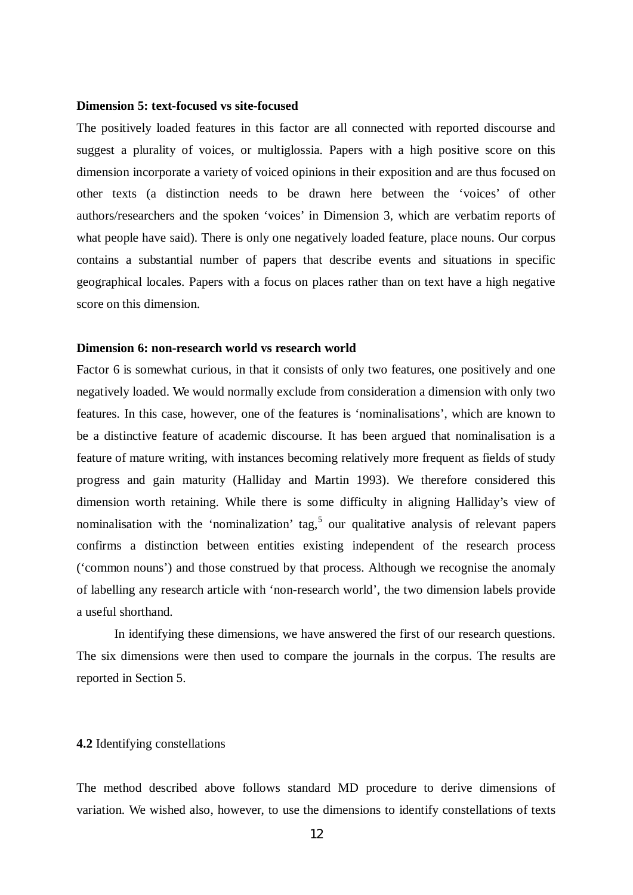#### **Dimension 5: text-focused vs site-focused**

The positively loaded features in this factor are all connected with reported discourse and suggest a plurality of voices, or multiglossia. Papers with a high positive score on this dimension incorporate a variety of voiced opinions in their exposition and are thus focused on other texts (a distinction needs to be drawn here between the 'voices' of other authors/researchers and the spoken 'voices' in Dimension 3, which are verbatim reports of what people have said). There is only one negatively loaded feature, place nouns. Our corpus contains a substantial number of papers that describe events and situations in specific geographical locales. Papers with a focus on places rather than on text have a high negative score on this dimension.

### **Dimension 6: non-research world vs research world**

Factor 6 is somewhat curious, in that it consists of only two features, one positively and one negatively loaded. We would normally exclude from consideration a dimension with only two features. In this case, however, one of the features is 'nominalisations', which are known to be a distinctive feature of academic discourse. It has been argued that nominalisation is a feature of mature writing, with instances becoming relatively more frequent as fields of study progress and gain maturity (Halliday and Martin 1993). We therefore considered this dimension worth retaining. While there is some difficulty in aligning Halliday's view of nominalisation with the 'nominalization' tag,  $5$  our qualitative analysis of relevant papers confirms a distinction between entities existing independent of the research process ('common nouns') and those construed by that process. Although we recognise the anomaly of labelling any research article with 'non-research world', the two dimension labels provide a useful shorthand.

In identifying these dimensions, we have answered the first of our research questions. The six dimensions were then used to compare the journals in the corpus. The results are reported in Section 5.

### **4.2** Identifying constellations

The method described above follows standard MD procedure to derive dimensions of variation. We wished also, however, to use the dimensions to identify constellations of texts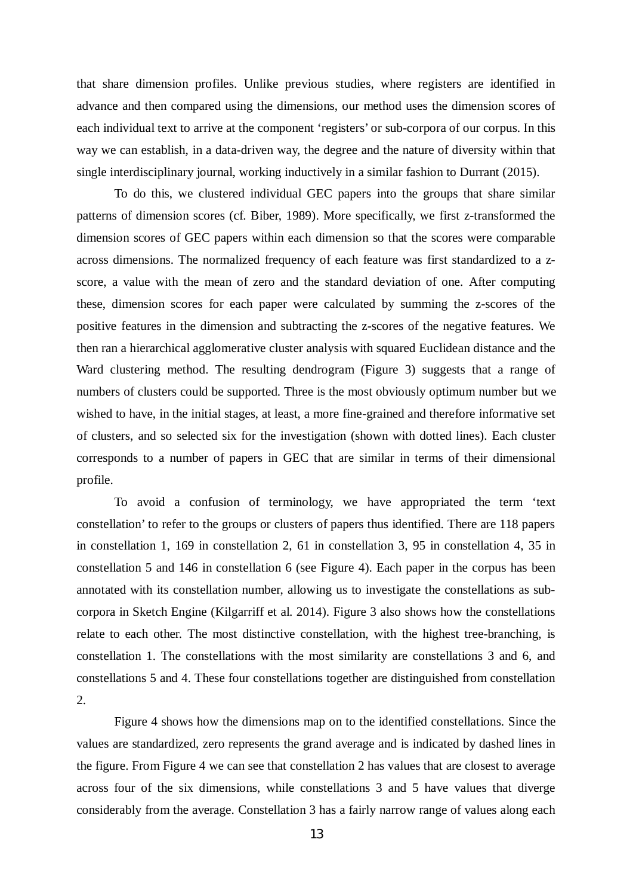that share dimension profiles. Unlike previous studies, where registers are identified in advance and then compared using the dimensions, our method uses the dimension scores of each individual text to arrive at the component 'registers' or sub-corpora of our corpus. In this way we can establish, in a data-driven way, the degree and the nature of diversity within that single interdisciplinary journal, working inductively in a similar fashion to Durrant (2015).

To do this, we clustered individual GEC papers into the groups that share similar patterns of dimension scores (cf. Biber, 1989). More specifically, we first z-transformed the dimension scores of GEC papers within each dimension so that the scores were comparable across dimensions. The normalized frequency of each feature was first standardized to a zscore, a value with the mean of zero and the standard deviation of one. After computing these, dimension scores for each paper were calculated by summing the z-scores of the positive features in the dimension and subtracting the z-scores of the negative features. We then ran a hierarchical agglomerative cluster analysis with squared Euclidean distance and the Ward clustering method. The resulting dendrogram (Figure 3) suggests that a range of numbers of clusters could be supported. Three is the most obviously optimum number but we wished to have, in the initial stages, at least, a more fine-grained and therefore informative set of clusters, and so selected six for the investigation (shown with dotted lines). Each cluster corresponds to a number of papers in GEC that are similar in terms of their dimensional profile.

To avoid a confusion of terminology, we have appropriated the term 'text constellation' to refer to the groups or clusters of papers thus identified. There are 118 papers in constellation 1, 169 in constellation 2, 61 in constellation 3, 95 in constellation 4, 35 in constellation 5 and 146 in constellation 6 (see Figure 4). Each paper in the corpus has been annotated with its constellation number, allowing us to investigate the constellations as subcorpora in Sketch Engine (Kilgarriff et al. 2014). Figure 3 also shows how the constellations relate to each other. The most distinctive constellation, with the highest tree-branching, is constellation 1. The constellations with the most similarity are constellations 3 and 6, and constellations 5 and 4. These four constellations together are distinguished from constellation 2.

Figure 4 shows how the dimensions map on to the identified constellations. Since the values are standardized, zero represents the grand average and is indicated by dashed lines in the figure. From Figure 4 we can see that constellation 2 has values that are closest to average across four of the six dimensions, while constellations 3 and 5 have values that diverge considerably from the average. Constellation 3 has a fairly narrow range of values along each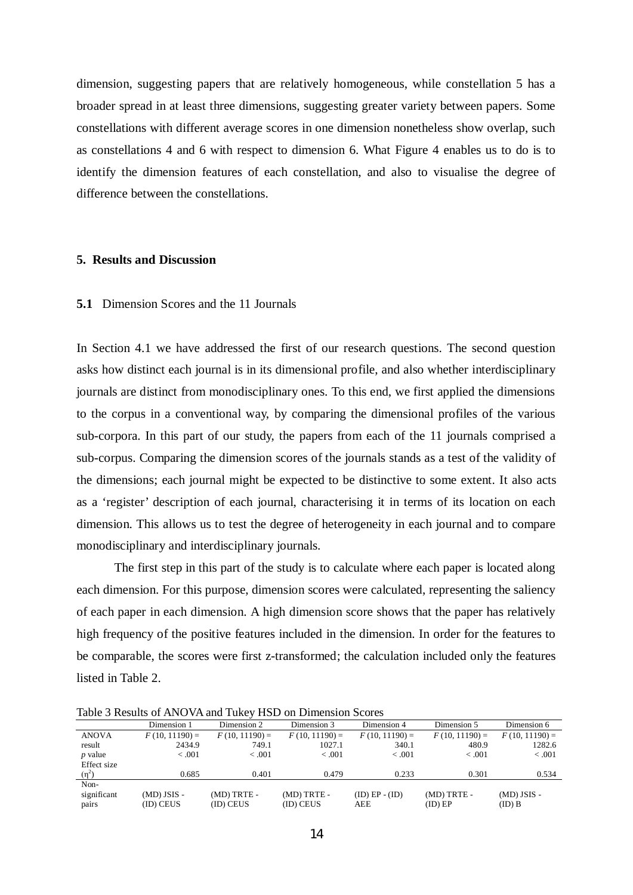dimension, suggesting papers that are relatively homogeneous, while constellation 5 has a broader spread in at least three dimensions, suggesting greater variety between papers. Some constellations with different average scores in one dimension nonetheless show overlap, such as constellations 4 and 6 with respect to dimension 6. What Figure 4 enables us to do is to identify the dimension features of each constellation, and also to visualise the degree of difference between the constellations.

#### **5. Results and Discussion**

#### **5.1** Dimension Scores and the 11 Journals

In Section 4.1 we have addressed the first of our research questions. The second question asks how distinct each journal is in its dimensional profile, and also whether interdisciplinary journals are distinct from monodisciplinary ones. To this end, we first applied the dimensions to the corpus in a conventional way, by comparing the dimensional profiles of the various sub-corpora. In this part of our study, the papers from each of the 11 journals comprised a sub-corpus. Comparing the dimension scores of the journals stands as a test of the validity of the dimensions; each journal might be expected to be distinctive to some extent. It also acts as a 'register' description of each journal, characterising it in terms of its location on each dimension. This allows us to test the degree of heterogeneity in each journal and to compare monodisciplinary and interdisciplinary journals.

The first step in this part of the study is to calculate where each paper is located along each dimension. For this purpose, dimension scores were calculated, representing the saliency of each paper in each dimension. A high dimension score shows that the paper has relatively high frequency of the positive features included in the dimension. In order for the features to be comparable, the scores were first z-transformed; the calculation included only the features listed in Table 2.

|              | Dimension 1      | Dimension 2      | Dimension 3      | Dimension 4      | Dimension 5      | Dimension 6      |
|--------------|------------------|------------------|------------------|------------------|------------------|------------------|
| <b>ANOVA</b> | $F(10, 11190) =$ | $F(10, 11190) =$ | $F(10, 11190) =$ | $F(10, 11190) =$ | $F(10, 11190) =$ | $F(10, 11190) =$ |
| result       | 2434.9           | 749.1            | 1027.1           | 340.1            | 480.9            | 1282.6           |
| $p$ value    | < .001           | $-.001$          | < .001           | < .001           | < .001           | < .001           |
| Effect size  |                  |                  |                  |                  |                  |                  |
| $(n^2)$      | 0.685            | 0.401            | 0.479            | 0.233            | 0.301            | 0.534            |
| Non-         |                  |                  |                  |                  |                  |                  |
| significant  | $(MD)$ JSIS -    | $(MD) TRTE -$    | $(MD) TRTE -$    | $(ID) EP - (ID)$ | $(MD)$ TRTE -    | $(MD)$ JSIS -    |
| pairs        | (ID) CEUS        | $(ID)$ CEUS      | (ID) CEUS        | AEE              | (ID) EP          | (ID) B           |

Table 3 Results of ANOVA and Tukey HSD on Dimension Scores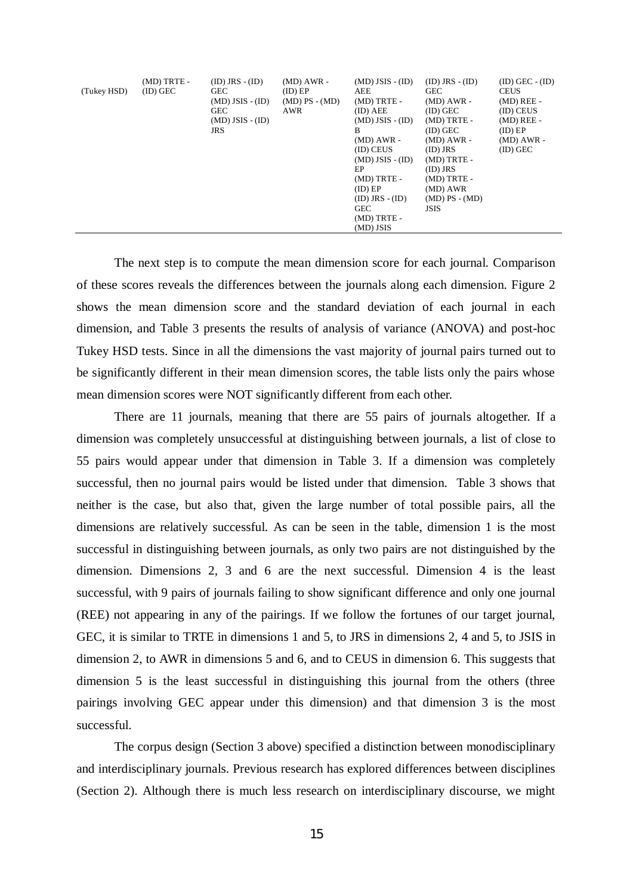| (Tukey HSD) | (MD) TRTE -<br>$(ID)$ GEC | $(ID)$ JRS $-(ID)$<br><b>GEC</b><br>$(MD)$ JSIS - $(ID)$<br><b>GEC</b><br>$(MD)$ JSIS - $(ID)$<br>JRS | $(MD)$ AWR -<br>(ID) EP<br>$(MD) PS - (MD)$<br>AWR | $(MD)$ JSIS $-$ (ID)<br>AEE<br>$(MD)$ TRTE -<br>(ID) AEE<br>$(MD)$ JSIS $ (ID)$<br>B<br>$(MD)$ AWR -<br>(ID) CEUS<br>$(MD)$ JSIS $ (ID)$<br>EP<br>$(MD)$ TRTE -<br>(ID) EP<br>$(ID)$ JRS $-(ID)$<br><b>GEC</b><br>$(MD)$ TRTE -<br>(MD) JSIS | $(ID)$ JRS $-(ID)$<br><b>GEC</b><br>$(MD)$ AWR -<br>$(ID)$ GEC<br>$(MD)$ TRTE -<br>$(ID)$ GEC<br>$(MD)$ AWR -<br>$(ID)$ JRS<br>$(MD)$ TRTE -<br>$(ID)$ JRS<br>$(MD)$ TRTE -<br>(MD) AWR<br>$(MD)$ PS $- (MD)$<br><b>JSIS</b> | $(ID)$ GEC $-(ID)$<br><b>CEUS</b><br>$(MD) REE -$<br>$(ID)$ CEUS<br>$(MD) REE -$<br>(ID) EP<br>$(MD)$ AWR -<br>(ID) GEC |
|-------------|---------------------------|-------------------------------------------------------------------------------------------------------|----------------------------------------------------|----------------------------------------------------------------------------------------------------------------------------------------------------------------------------------------------------------------------------------------------|------------------------------------------------------------------------------------------------------------------------------------------------------------------------------------------------------------------------------|-------------------------------------------------------------------------------------------------------------------------|
|-------------|---------------------------|-------------------------------------------------------------------------------------------------------|----------------------------------------------------|----------------------------------------------------------------------------------------------------------------------------------------------------------------------------------------------------------------------------------------------|------------------------------------------------------------------------------------------------------------------------------------------------------------------------------------------------------------------------------|-------------------------------------------------------------------------------------------------------------------------|

The next step is to compute the mean dimension score for each journal. Comparison of these scores reveals the differences between the journals along each dimension. Figure 2 shows the mean dimension score and the standard deviation of each journal in each dimension, and Table 3 presents the results of analysis of variance (ANOVA) and post-hoc Tukey HSD tests. Since in all the dimensions the vast majority of journal pairs turned out to be significantly different in their mean dimension scores, the table lists only the pairs whose mean dimension scores were NOT significantly different from each other.

There are 11 journals, meaning that there are 55 pairs of journals altogether. If a dimension was completely unsuccessful at distinguishing between journals, a list of close to 55 pairs would appear under that dimension in Table 3. If a dimension was completely successful, then no journal pairs would be listed under that dimension. Table 3 shows that neither is the case, but also that, given the large number of total possible pairs, all the dimensions are relatively successful. As can be seen in the table, dimension 1 is the most successful in distinguishing between journals, as only two pairs are not distinguished by the dimension. Dimensions 2, 3 and 6 are the next successful. Dimension 4 is the least successful, with 9 pairs of journals failing to show significant difference and only one journal (REE) not appearing in any of the pairings. If we follow the fortunes of our target journal, GEC, it is similar to TRTE in dimensions 1 and 5, to JRS in dimensions 2, 4 and 5, to JSIS in dimension 2, to AWR in dimensions 5 and 6, and to CEUS in dimension 6. This suggests that dimension 5 is the least successful in distinguishing this journal from the others (three pairings involving GEC appear under this dimension) and that dimension 3 is the most successful.

The corpus design (Section 3 above) specified a distinction between monodisciplinary and interdisciplinary journals. Previous research has explored differences between disciplines (Section 2). Although there is much less research on interdisciplinary discourse, we might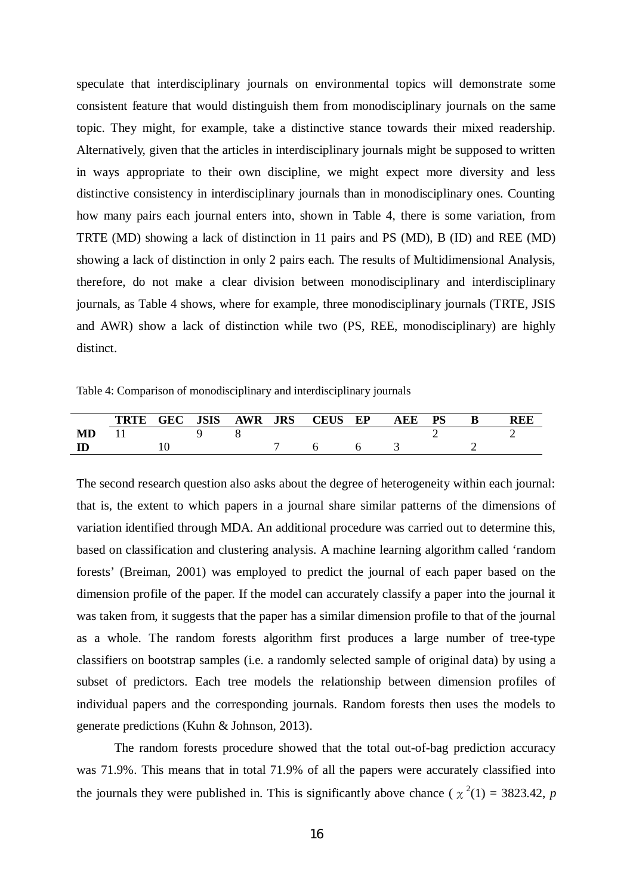speculate that interdisciplinary journals on environmental topics will demonstrate some consistent feature that would distinguish them from monodisciplinary journals on the same topic. They might, for example, take a distinctive stance towards their mixed readership. Alternatively, given that the articles in interdisciplinary journals might be supposed to written in ways appropriate to their own discipline, we might expect more diversity and less distinctive consistency in interdisciplinary journals than in monodisciplinary ones. Counting how many pairs each journal enters into, shown in Table 4, there is some variation, from TRTE (MD) showing a lack of distinction in 11 pairs and PS (MD), B (ID) and REE (MD) showing a lack of distinction in only 2 pairs each. The results of Multidimensional Analysis, therefore, do not make a clear division between monodisciplinary and interdisciplinary journals, as Table 4 shows, where for example, three monodisciplinary journals (TRTE, JSIS and AWR) show a lack of distinction while two (PS, REE, monodisciplinary) are highly distinct.

Table 4: Comparison of monodisciplinary and interdisciplinary journals

|           | TRTE | <b>GEC</b> JSIS |  | AWR JRS CEUS EP | AEE PS |  | REE |
|-----------|------|-----------------|--|-----------------|--------|--|-----|
| <b>MD</b> |      |                 |  |                 |        |  |     |
| ID        |      |                 |  |                 |        |  |     |

The second research question also asks about the degree of heterogeneity within each journal: that is, the extent to which papers in a journal share similar patterns of the dimensions of variation identified through MDA. An additional procedure was carried out to determine this, based on classification and clustering analysis. A machine learning algorithm called 'random forests' (Breiman, 2001) was employed to predict the journal of each paper based on the dimension profile of the paper. If the model can accurately classify a paper into the journal it was taken from, it suggests that the paper has a similar dimension profile to that of the journal as a whole. The random forests algorithm first produces a large number of tree-type classifiers on bootstrap samples (i.e. a randomly selected sample of original data) by using a subset of predictors. Each tree models the relationship between dimension profiles of individual papers and the corresponding journals. Random forests then uses the models to generate predictions (Kuhn & Johnson, 2013).

The random forests procedure showed that the total out-of-bag prediction accuracy was 71.9%. This means that in total 71.9% of all the papers were accurately classified into the journals they were published in. This is significantly above chance ( $\chi^2(1) = 3823.42$ , *p*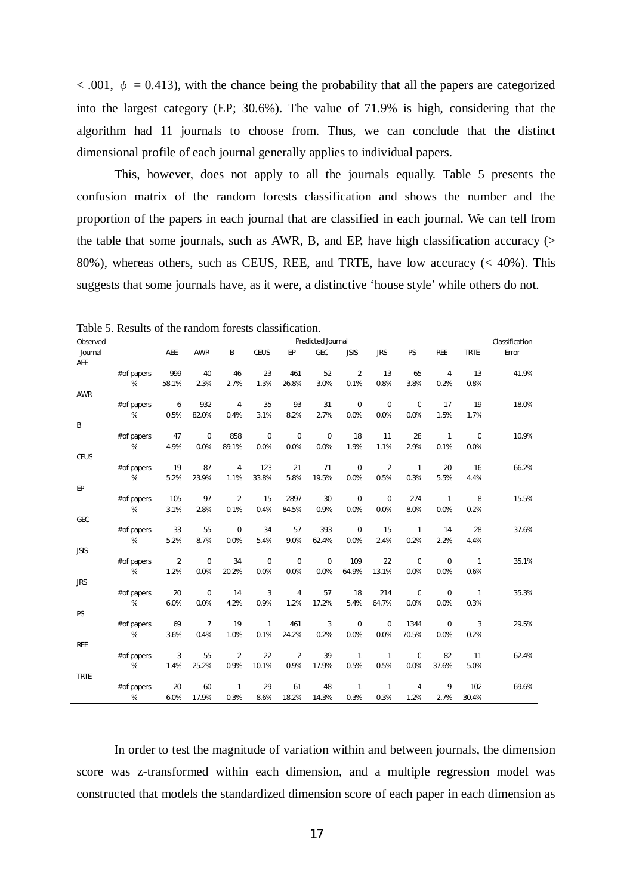$< .001, \phi = 0.413$ , with the chance being the probability that all the papers are categorized into the largest category (EP; 30.6%). The value of 71.9% is high, considering that the algorithm had 11 journals to choose from. Thus, we can conclude that the distinct dimensional profile of each journal generally applies to individual papers.

This, however, does not apply to all the journals equally. Table 5 presents the confusion matrix of the random forests classification and shows the number and the proportion of the papers in each journal that are classified in each journal. We can tell from the table that some journals, such as AWR, B, and EP, have high classification accuracy  $($ 80%), whereas others, such as CEUS, REE, and TRTE, have low accuracy (< 40%). This suggests that some journals have, as it were, a distinctive 'house style' while others do not.

| Observed    |               |                |                |                |              |                | Predicted Journal |                  |              |                |                |                | Classification |
|-------------|---------------|----------------|----------------|----------------|--------------|----------------|-------------------|------------------|--------------|----------------|----------------|----------------|----------------|
| Journal     |               | AEE            | AWR            | B              | CEUS         | EP             | GEC               | <b>JSIS</b>      | <b>JRS</b>   | <b>PS</b>      | REE            | <b>TRTE</b>    | Error          |
| AEE         |               |                |                |                |              |                |                   |                  |              |                |                |                |                |
|             | $#$ of papers | 999            | 40             | 46             | 23           | 461            | 52                | $\overline{2}$   | 13           | 65             | $\overline{4}$ | 13             | 41.9%          |
|             | %             | 58.1%          | 2.3%           | 2.7%           | 1.3%         | 26.8%          | 3.0%              | 0.1%             | 0.8%         | 3.8%           | 0.2%           | 0.8%           |                |
| AWR         |               |                |                |                |              |                |                   |                  |              |                |                |                |                |
|             | $#$ of papers | 6              | 932            | $\overline{4}$ | 35           | 93             | 31                | $\boldsymbol{0}$ | $\mathbf 0$  | $\mathbf 0$    | 17             | 19             | 18.0%          |
|             | %             | 0.5%           | 82.0%          | 0.4%           | 3.1%         | 8.2%           | 2.7%              | 0.0%             | 0.0%         | 0.0%           | 1.5%           | 1.7%           |                |
| B           |               |                |                |                |              |                |                   |                  |              |                |                |                |                |
|             | $#$ of papers | 47             | $\mathbf 0$    | 858            | $\mathbf 0$  | $\pmb{0}$      | $\mathbf 0$       | 18               | 11           | 28             | $\mathbf{1}$   | $\mathbf 0$    | 10.9%          |
|             | %             | 4.9%           | 0.0%           | 89.1%          | 0.0%         | 0.0%           | 0.0%              | 1.9%             | 1.1%         | 2.9%           | 0.1%           | 0.0%           |                |
| CEUS        |               |                |                |                |              |                |                   |                  |              |                |                |                |                |
|             | $#$ of papers | 19             | 87             | $\overline{4}$ | 123          | 21             | 71                | $\pmb{0}$        | 2            | $\overline{1}$ | 20             | 16             | 66.2%          |
|             | %             | 5.2%           | 23.9%          | 1.1%           | 33.8%        | 5.8%           | 19.5%             | 0.0%             | 0.5%         | 0.3%           | 5.5%           | 4.4%           |                |
| EP          |               |                |                |                |              |                |                   |                  |              |                |                |                |                |
|             | $#$ of papers | 105            | 97             | $\overline{2}$ | 15           | 2897           | 30                | $\pmb{0}$        | $\mathbf 0$  | 274            | $\mathbf{1}$   | 8              | 15.5%          |
|             | %             | 3.1%           | 2.8%           | 0.1%           | 0.4%         | 84.5%          | 0.9%              | 0.0%             | 0.0%         | 8.0%           | 0.0%           | 0.2%           |                |
| GEC         |               |                |                |                |              |                |                   |                  |              |                |                |                |                |
|             | $#$ of papers | 33             | 55             | 0              | 34           | 57             | 393               | $\mathbf 0$      | 15           | $\overline{1}$ | 14             | 28             | 37.6%          |
|             | %             | 5.2%           | 8.7%           | 0.0%           | 5.4%         | 9.0%           | 62.4%             | 0.0%             | 2.4%         | 0.2%           | 2.2%           | 4.4%           |                |
| <b>JSIS</b> |               |                |                |                |              |                |                   |                  |              |                |                |                |                |
|             | $#$ of papers | $\overline{2}$ | $\pmb{0}$      | 34             | $\pmb{0}$    | $\pmb{0}$      | 0                 | 109              | 22           | $\mathbf 0$    | $\pmb{0}$      | $\mathbf{1}$   | 35.1%          |
|             | %             | 1.2%           | 0.0%           | 20.2%          | 0.0%         | 0.0%           | 0.0%              | 64.9%            | 13.1%        | 0.0%           | 0.0%           | 0.6%           |                |
| <b>JRS</b>  |               |                |                |                |              |                |                   |                  |              |                |                |                |                |
|             | $#$ of papers | 20             | $\mathsf 0$    | 14             | 3            | $\overline{4}$ | 57                | 18               | 214          | $\mathbf 0$    | $\pmb{0}$      | $\overline{1}$ | 35.3%          |
|             | %             | 6.0%           | 0.0%           | 4.2%           | 0.9%         | 1.2%           | 17.2%             | 5.4%             | 64.7%        | 0.0%           | 0.0%           | 0.3%           |                |
| <b>PS</b>   |               |                |                |                |              |                |                   |                  |              |                |                |                |                |
|             | $#$ of papers | 69             | $\overline{7}$ | 19             | $\mathbf{1}$ | 461            | 3                 | $\boldsymbol{0}$ | $\pmb{0}$    | 1344           | $\mathbf 0$    | 3              | 29.5%          |
|             | %             | 3.6%           | 0.4%           | 1.0%           | 0.1%         | 24.2%          | 0.2%              | 0.0%             | 0.0%         | 70.5%          | 0.0%           | 0.2%           |                |
| REE         |               |                |                |                |              |                |                   |                  |              |                |                |                |                |
|             | $#$ of papers | 3              | 55             | $\overline{2}$ | 22           | $\overline{2}$ | 39                | $\mathbf{1}$     | $\mathbf{1}$ | $\bf 0$        | 82             | 11             | 62.4%          |
|             | %             | 1.4%           | 25.2%          | 0.9%           | 10.1%        | 0.9%           | 17.9%             | 0.5%             | 0.5%         | 0.0%           | 37.6%          | 5.0%           |                |
| <b>TRTE</b> |               |                |                |                |              |                |                   |                  |              |                |                |                |                |
|             | # of papers   | 20             | 60             | $\mathbf{1}$   | 29           | 61             | 48                | $\mathbf{1}$     | $\mathbf{1}$ | $\overline{4}$ | 9              | 102            | 69.6%          |
|             | %             | 6.0%           | 17.9%          | 0.3%           | 8.6%         | 18.2%          | 14.3%             | 0.3%             | 0.3%         | 1.2%           | 2.7%           | 30.4%          |                |

Table 5. Results of the random forests classification.

In order to test the magnitude of variation within and between journals, the dimension score was z-transformed within each dimension, and a multiple regression model was constructed that models the standardized dimension score of each paper in each dimension as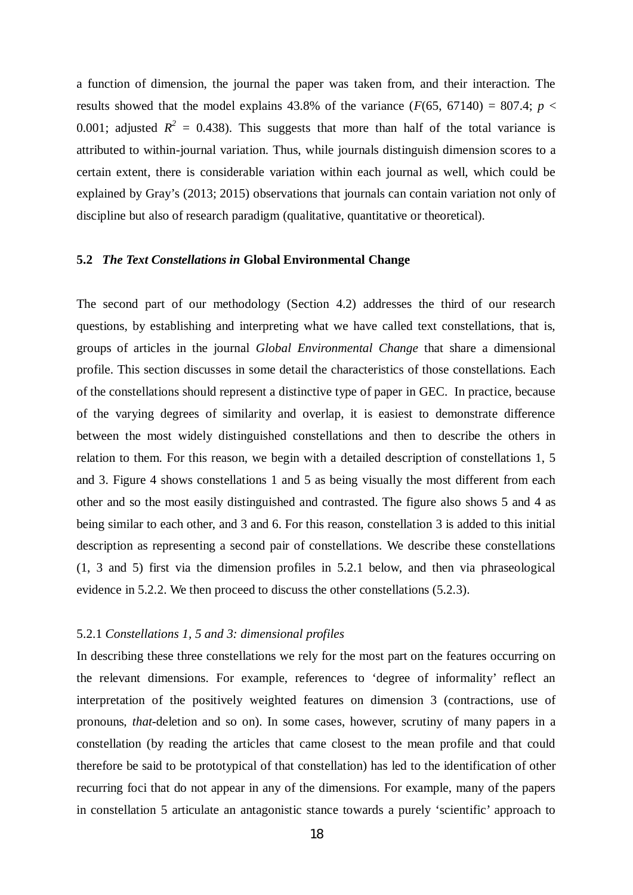a function of dimension, the journal the paper was taken from, and their interaction. The results showed that the model explains 43.8% of the variance  $(F(65, 67140) = 807.4; p <$ 0.001; adjusted  $R^2 = 0.438$ ). This suggests that more than half of the total variance is attributed to within-journal variation. Thus, while journals distinguish dimension scores to a certain extent, there is considerable variation within each journal as well, which could be explained by Gray's (2013; 2015) observations that journals can contain variation not only of discipline but also of research paradigm (qualitative, quantitative or theoretical).

#### **5.2** *The Text Constellations in* **Global Environmental Change**

The second part of our methodology (Section 4.2) addresses the third of our research questions, by establishing and interpreting what we have called text constellations, that is, groups of articles in the journal *Global Environmental Change* that share a dimensional profile. This section discusses in some detail the characteristics of those constellations. Each of the constellations should represent a distinctive type of paper in GEC. In practice, because of the varying degrees of similarity and overlap, it is easiest to demonstrate difference between the most widely distinguished constellations and then to describe the others in relation to them. For this reason, we begin with a detailed description of constellations 1, 5 and 3. Figure 4 shows constellations 1 and 5 as being visually the most different from each other and so the most easily distinguished and contrasted. The figure also shows 5 and 4 as being similar to each other, and 3 and 6. For this reason, constellation 3 is added to this initial description as representing a second pair of constellations. We describe these constellations (1, 3 and 5) first via the dimension profiles in 5.2.1 below, and then via phraseological evidence in 5.2.2. We then proceed to discuss the other constellations (5.2.3).

#### 5.2.1 *Constellations 1, 5 and 3: dimensional profiles*

In describing these three constellations we rely for the most part on the features occurring on the relevant dimensions. For example, references to 'degree of informality' reflect an interpretation of the positively weighted features on dimension 3 (contractions, use of pronouns, *that*-deletion and so on). In some cases, however, scrutiny of many papers in a constellation (by reading the articles that came closest to the mean profile and that could therefore be said to be prototypical of that constellation) has led to the identification of other recurring foci that do not appear in any of the dimensions. For example, many of the papers in constellation 5 articulate an antagonistic stance towards a purely 'scientific' approach to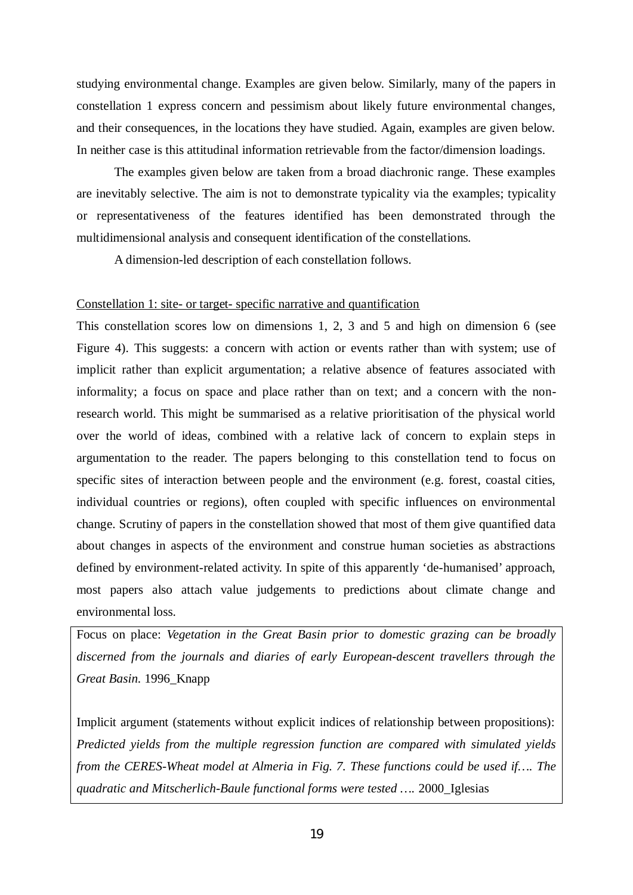studying environmental change. Examples are given below. Similarly, many of the papers in constellation 1 express concern and pessimism about likely future environmental changes, and their consequences, in the locations they have studied. Again, examples are given below. In neither case is this attitudinal information retrievable from the factor/dimension loadings.

The examples given below are taken from a broad diachronic range. These examples are inevitably selective. The aim is not to demonstrate typicality via the examples; typicality or representativeness of the features identified has been demonstrated through the multidimensional analysis and consequent identification of the constellations.

A dimension-led description of each constellation follows.

#### Constellation 1: site- or target- specific narrative and quantification

This constellation scores low on dimensions 1, 2, 3 and 5 and high on dimension 6 (see Figure 4). This suggests: a concern with action or events rather than with system; use of implicit rather than explicit argumentation; a relative absence of features associated with informality; a focus on space and place rather than on text; and a concern with the nonresearch world. This might be summarised as a relative prioritisation of the physical world over the world of ideas, combined with a relative lack of concern to explain steps in argumentation to the reader. The papers belonging to this constellation tend to focus on specific sites of interaction between people and the environment (e.g. forest, coastal cities, individual countries or regions), often coupled with specific influences on environmental change. Scrutiny of papers in the constellation showed that most of them give quantified data about changes in aspects of the environment and construe human societies as abstractions defined by environment-related activity. In spite of this apparently 'de-humanised' approach, most papers also attach value judgements to predictions about climate change and environmental loss.

Focus on place: *Vegetation in the Great Basin prior to domestic grazing can be broadly discerned from the journals and diaries of early European-descent travellers through the Great Basin.* 1996\_Knapp

Implicit argument (statements without explicit indices of relationship between propositions): *Predicted yields from the multiple regression function are compared with simulated yields from the CERES-Wheat model at Almeria in Fig. 7. These functions could be used if…. The quadratic and Mitscherlich-Baule functional forms were tested ….* 2000\_Iglesias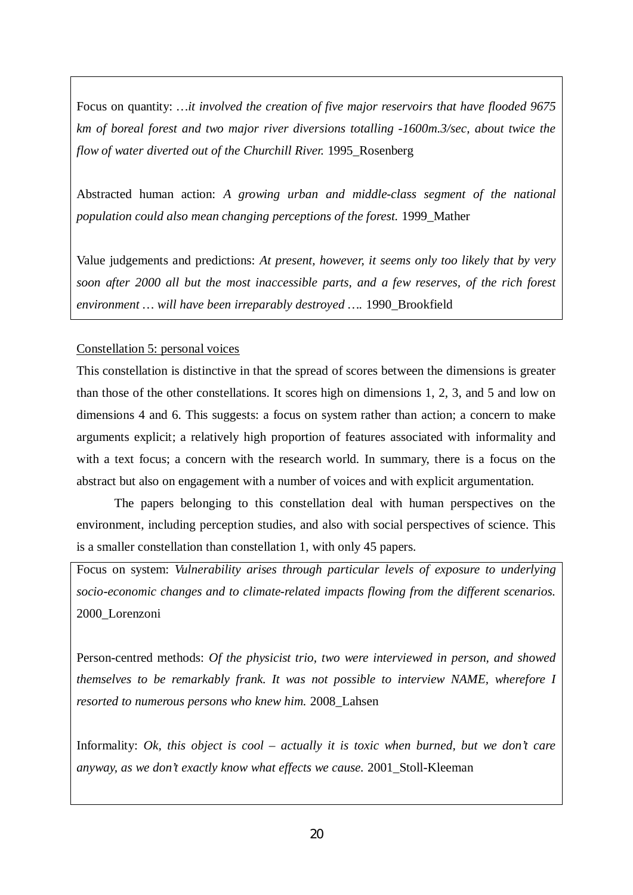Focus on quantity: *…it involved the creation of five major reservoirs that have flooded 9675 km of boreal forest and two major river diversions totalling -1600m.3/sec, about twice the flow of water diverted out of the Churchill River.* 1995\_Rosenberg

Abstracted human action: *A growing urban and middle-class segment of the national population could also mean changing perceptions of the forest.* 1999\_Mather

Value judgements and predictions: *At present, however, it seems only too likely that by very soon after 2000 all but the most inaccessible parts, and a few reserves, of the rich forest environment … will have been irreparably destroyed ….* 1990\_Brookfield

## Constellation 5: personal voices

This constellation is distinctive in that the spread of scores between the dimensions is greater than those of the other constellations. It scores high on dimensions 1, 2, 3, and 5 and low on dimensions 4 and 6. This suggests: a focus on system rather than action; a concern to make arguments explicit; a relatively high proportion of features associated with informality and with a text focus; a concern with the research world. In summary, there is a focus on the abstract but also on engagement with a number of voices and with explicit argumentation.

The papers belonging to this constellation deal with human perspectives on the environment, including perception studies, and also with social perspectives of science. This is a smaller constellation than constellation 1, with only 45 papers.

Focus on system: *Vulnerability arises through particular levels of exposure to underlying socio-economic changes and to climate-related impacts flowing from the different scenarios.* 2000\_Lorenzoni

Person-centred methods: *Of the physicist trio, two were interviewed in person, and showed themselves to be remarkably frank. It was not possible to interview NAME, wherefore I resorted to numerous persons who knew him.* 2008\_Lahsen

Informality: *Ok, this object is cool – actually it is toxic when burned, but we don't care anyway, as we don't exactly know what effects we cause.* 2001\_Stoll-Kleeman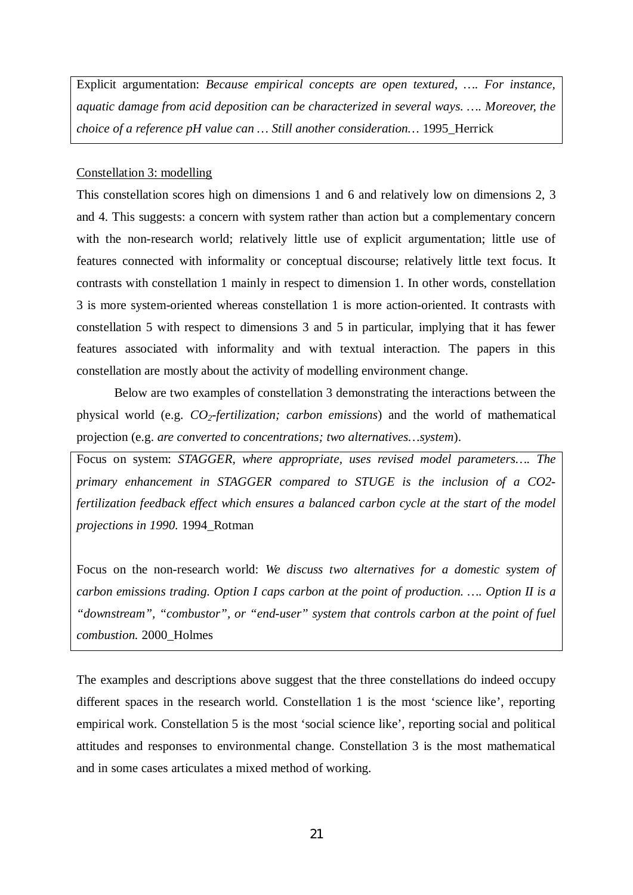Explicit argumentation: *Because empirical concepts are open textured, …. For instance, aquatic damage from acid deposition can be characterized in several ways. …. Moreover, the choice of a reference pH value can … Still another consideration…* 1995\_Herrick

#### Constellation 3: modelling

This constellation scores high on dimensions 1 and 6 and relatively low on dimensions 2, 3 and 4. This suggests: a concern with system rather than action but a complementary concern with the non-research world; relatively little use of explicit argumentation; little use of features connected with informality or conceptual discourse; relatively little text focus. It contrasts with constellation 1 mainly in respect to dimension 1. In other words, constellation 3 is more system-oriented whereas constellation 1 is more action-oriented. It contrasts with constellation 5 with respect to dimensions 3 and 5 in particular, implying that it has fewer features associated with informality and with textual interaction. The papers in this constellation are mostly about the activity of modelling environment change.

Below are two examples of constellation 3 demonstrating the interactions between the physical world (e.g. *CO2-fertilization; carbon emissions*) and the world of mathematical projection (e.g. *are converted to concentrations; two alternatives…system*).

Focus on system: *STAGGER, where appropriate, uses revised model parameters…. The primary enhancement in STAGGER compared to STUGE is the inclusion of a CO2 fertilization feedback effect which ensures a balanced carbon cycle at the start of the model projections in 1990.* 1994\_Rotman

Focus on the non-research world: *We discuss two alternatives for a domestic system of carbon emissions trading. Option I caps carbon at the point of production. …. Option II is a "downstream", "combustor", or "end-user" system that controls carbon at the point of fuel combustion.* 2000\_Holmes

The examples and descriptions above suggest that the three constellations do indeed occupy different spaces in the research world. Constellation 1 is the most 'science like', reporting empirical work. Constellation 5 is the most 'social science like', reporting social and political attitudes and responses to environmental change. Constellation 3 is the most mathematical and in some cases articulates a mixed method of working.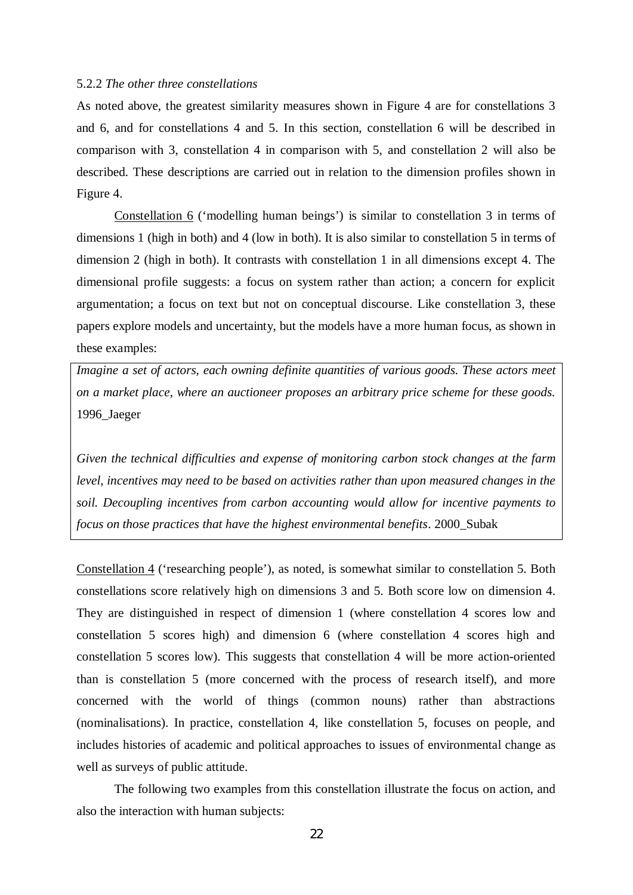#### 5.2.2 *The other three constellations*

As noted above, the greatest similarity measures shown in Figure 4 are for constellations 3 and 6, and for constellations 4 and 5. In this section, constellation 6 will be described in comparison with 3, constellation 4 in comparison with 5, and constellation 2 will also be described. These descriptions are carried out in relation to the dimension profiles shown in Figure 4.

Constellation 6 ('modelling human beings') is similar to constellation 3 in terms of dimensions 1 (high in both) and 4 (low in both). It is also similar to constellation 5 in terms of dimension 2 (high in both). It contrasts with constellation 1 in all dimensions except 4. The dimensional profile suggests: a focus on system rather than action; a concern for explicit argumentation; a focus on text but not on conceptual discourse. Like constellation 3, these papers explore models and uncertainty, but the models have a more human focus, as shown in these examples:

*Imagine a set of actors, each owning definite quantities of various goods. These actors meet on a market place, where an auctioneer proposes an arbitrary price scheme for these goods.* 1996\_Jaeger

*Given the technical difficulties and expense of monitoring carbon stock changes at the farm level, incentives may need to be based on activities rather than upon measured changes in the soil. Decoupling incentives from carbon accounting would allow for incentive payments to focus on those practices that have the highest environmental benefits*. 2000\_Subak

Constellation 4 ('researching people'), as noted, is somewhat similar to constellation 5. Both constellations score relatively high on dimensions 3 and 5. Both score low on dimension 4. They are distinguished in respect of dimension 1 (where constellation 4 scores low and constellation 5 scores high) and dimension 6 (where constellation 4 scores high and constellation 5 scores low). This suggests that constellation 4 will be more action-oriented than is constellation 5 (more concerned with the process of research itself), and more concerned with the world of things (common nouns) rather than abstractions (nominalisations). In practice, constellation 4, like constellation 5, focuses on people, and includes histories of academic and political approaches to issues of environmental change as well as surveys of public attitude.

The following two examples from this constellation illustrate the focus on action, and also the interaction with human subjects: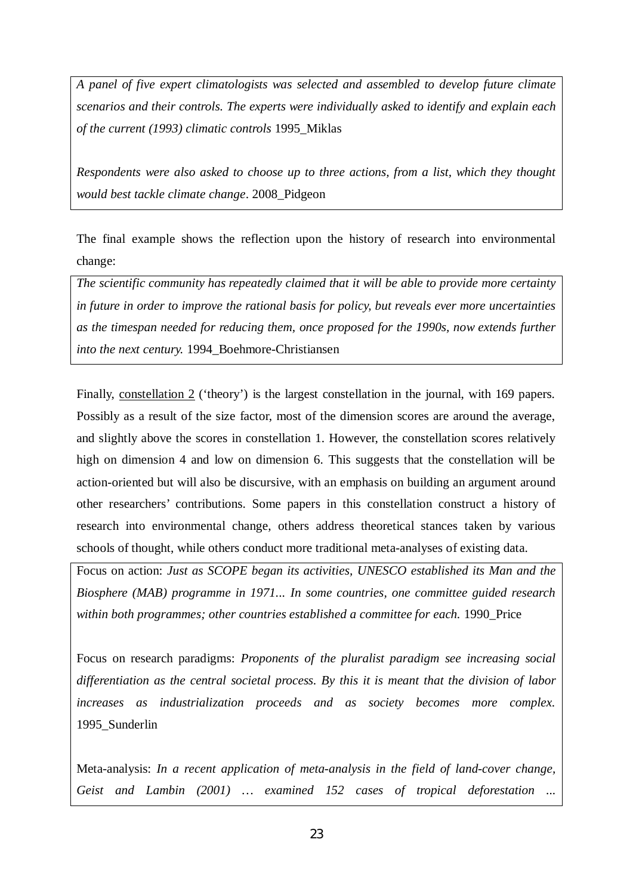*A panel of five expert climatologists was selected and assembled to develop future climate scenarios and their controls. The experts were individually asked to identify and explain each of the current (1993) climatic controls* 1995\_Miklas

*Respondents were also asked to choose up to three actions, from a list, which they thought would best tackle climate change*. 2008\_Pidgeon

The final example shows the reflection upon the history of research into environmental change:

*The scientific community has repeatedly claimed that it will be able to provide more certainty in future in order to improve the rational basis for policy, but reveals ever more uncertainties as the timespan needed for reducing them, once proposed for the 1990s, now extends further into the next century.* 1994\_Boehmore-Christiansen

Finally, constellation 2 ('theory') is the largest constellation in the journal, with 169 papers. Possibly as a result of the size factor, most of the dimension scores are around the average, and slightly above the scores in constellation 1. However, the constellation scores relatively high on dimension 4 and low on dimension 6. This suggests that the constellation will be action-oriented but will also be discursive, with an emphasis on building an argument around other researchers' contributions. Some papers in this constellation construct a history of research into environmental change, others address theoretical stances taken by various schools of thought, while others conduct more traditional meta-analyses of existing data.

Focus on action: *Just as SCOPE began its activities, UNESCO established its Man and the Biosphere (MAB) programme in 1971... In some countries, one committee guided research within both programmes; other countries established a committee for each.* 1990\_Price

Focus on research paradigms: *Proponents of the pluralist paradigm see increasing social differentiation as the central societal process. By this it is meant that the division of labor increases as industrialization proceeds and as society becomes more complex.* 1995\_Sunderlin

Meta-analysis: *In a recent application of meta-analysis in the field of land-cover change, Geist and Lambin (2001) … examined 152 cases of tropical deforestation ...*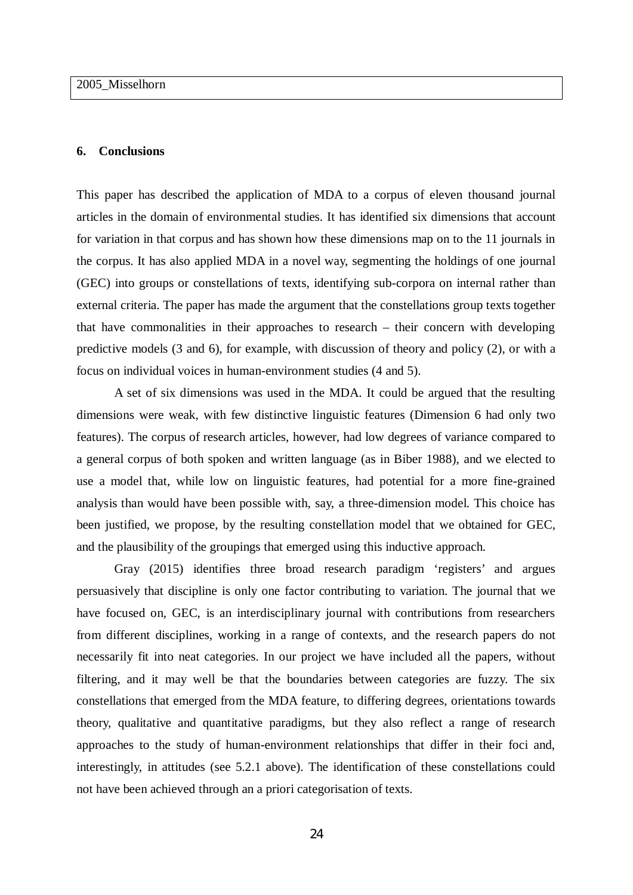#### **6. Conclusions**

This paper has described the application of MDA to a corpus of eleven thousand journal articles in the domain of environmental studies. It has identified six dimensions that account for variation in that corpus and has shown how these dimensions map on to the 11 journals in the corpus. It has also applied MDA in a novel way, segmenting the holdings of one journal (GEC) into groups or constellations of texts, identifying sub-corpora on internal rather than external criteria. The paper has made the argument that the constellations group texts together that have commonalities in their approaches to research – their concern with developing predictive models (3 and 6), for example, with discussion of theory and policy (2), or with a focus on individual voices in human-environment studies (4 and 5).

A set of six dimensions was used in the MDA. It could be argued that the resulting dimensions were weak, with few distinctive linguistic features (Dimension 6 had only two features). The corpus of research articles, however, had low degrees of variance compared to a general corpus of both spoken and written language (as in Biber 1988), and we elected to use a model that, while low on linguistic features, had potential for a more fine-grained analysis than would have been possible with, say, a three-dimension model. This choice has been justified, we propose, by the resulting constellation model that we obtained for GEC, and the plausibility of the groupings that emerged using this inductive approach.

Gray (2015) identifies three broad research paradigm 'registers' and argues persuasively that discipline is only one factor contributing to variation. The journal that we have focused on, GEC, is an interdisciplinary journal with contributions from researchers from different disciplines, working in a range of contexts, and the research papers do not necessarily fit into neat categories. In our project we have included all the papers, without filtering, and it may well be that the boundaries between categories are fuzzy. The six constellations that emerged from the MDA feature, to differing degrees, orientations towards theory, qualitative and quantitative paradigms, but they also reflect a range of research approaches to the study of human-environment relationships that differ in their foci and, interestingly, in attitudes (see 5.2.1 above). The identification of these constellations could not have been achieved through an a priori categorisation of texts.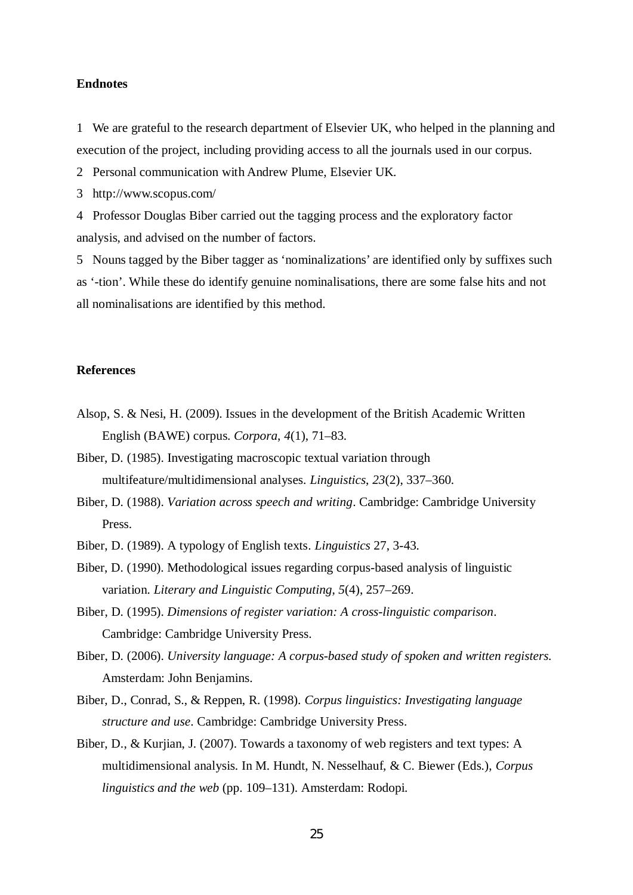#### **Endnotes**

1 We are grateful to the research department of Elsevier UK, who helped in the planning and execution of the project, including providing access to all the journals used in our corpus.

2 Personal communication with Andrew Plume, Elsevier UK.

3 http://www.scopus.com/

4 Professor Douglas Biber carried out the tagging process and the exploratory factor analysis, and advised on the number of factors.

5 Nouns tagged by the Biber tagger as 'nominalizations' are identified only by suffixes such as '-tion'. While these do identify genuine nominalisations, there are some false hits and not all nominalisations are identified by this method.

#### **References**

- Alsop, S. & Nesi, H. (2009). Issues in the development of the British Academic Written English (BAWE) corpus. *Corpora*, *4*(1), 71–83.
- Biber, D. (1985). Investigating macroscopic textual variation through multifeature/multidimensional analyses. *Linguistics*, *23*(2), 337–360.
- Biber, D. (1988). *Variation across speech and writing*. Cambridge: Cambridge University Press.
- Biber, D. (1989). A typology of English texts. *Linguistics* 27, 3-43.
- Biber, D. (1990). Methodological issues regarding corpus-based analysis of linguistic variation. *Literary and Linguistic Computing*, *5*(4), 257–269.
- Biber, D. (1995). *Dimensions of register variation: A cross-linguistic comparison*. Cambridge: Cambridge University Press.
- Biber, D. (2006). *University language: A corpus-based study of spoken and written registers.* Amsterdam: John Benjamins.
- Biber, D., Conrad, S., & Reppen, R. (1998). *Corpus linguistics: Investigating language structure and use*. Cambridge: Cambridge University Press.
- Biber, D., & Kurjian, J. (2007). Towards a taxonomy of web registers and text types: A multidimensional analysis. In M. Hundt, N. Nesselhauf, & C. Biewer (Eds.), *Corpus linguistics and the web* (pp. 109–131). Amsterdam: Rodopi.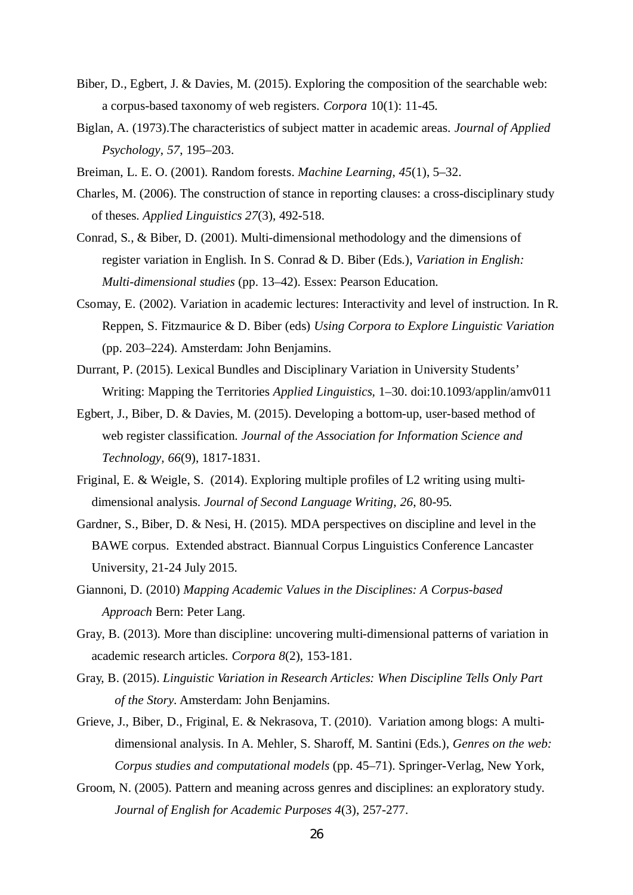- Biber, D., Egbert, J. & Davies, M. (2015). Exploring the composition of the searchable web: a corpus-based taxonomy of web registers. *Corpora* 10(1): 11-45.
- Biglan, A. (1973).The characteristics of subject matter in academic areas. *Journal of Applied Psychology*, *57*, 195–203.
- Breiman, L. E. O. (2001). Random forests. *Machine Learning*, *45*(1), 5–32.
- Charles, M. (2006). The construction of stance in reporting clauses: a cross-disciplinary study of theses. *Applied Linguistics 27*(3), 492-518.
- Conrad, S., & Biber, D. (2001). Multi-dimensional methodology and the dimensions of register variation in English. In S. Conrad & D. Biber (Eds.), *Variation in English: Multi-dimensional studies* (pp. 13–42). Essex: Pearson Education.
- Csomay, E. (2002). Variation in academic lectures: Interactivity and level of instruction. In R. Reppen, S. Fitzmaurice & D. Biber (eds) *Using Corpora to Explore Linguistic Variation* (pp. 203–224). Amsterdam: John Benjamins.
- Durrant, P. (2015). Lexical Bundles and Disciplinary Variation in University Students' Writing: Mapping the Territories *Applied Linguistics,* 1–30. doi:10.1093/applin/amv011
- Egbert, J., Biber, D. & Davies, M. (2015). Developing a bottom-up, user-based method of web register classification. *Journal of the Association for Information Science and Technology, 66*(9), 1817-1831.
- Friginal, E. & Weigle, S. (2014). Exploring multiple profiles of L2 writing using multidimensional analysis. *Journal of Second Language Writing, 26*, 80-95.
- Gardner, S., Biber, D. & Nesi, H. (2015). MDA perspectives on discipline and level in the BAWE corpus. Extended abstract. Biannual Corpus Linguistics Conference Lancaster University, 21-24 July 2015.
- Giannoni, D. (2010) *Mapping Academic Values in the Disciplines: A Corpus-based Approach* Bern: Peter Lang.
- Gray, B. (2013). More than discipline: uncovering multi-dimensional patterns of variation in academic research articles. *Corpora 8*(2), 153-181.
- Gray, B. (2015). *Linguistic Variation in Research Articles: When Discipline Tells Only Part of the Story*. Amsterdam: John Benjamins.
- Grieve, J., Biber, D., Friginal, E. & Nekrasova, T. (2010). Variation among blogs: A multidimensional analysis. In A. Mehler, S. Sharoff, M. Santini (Eds.), *Genres on the web: Corpus studies and computational models* (pp. 45–71). Springer-Verlag, New York,
- Groom, N. (2005). Pattern and meaning across genres and disciplines: an exploratory study. *Journal of English for Academic Purposes 4*(3), 257-277.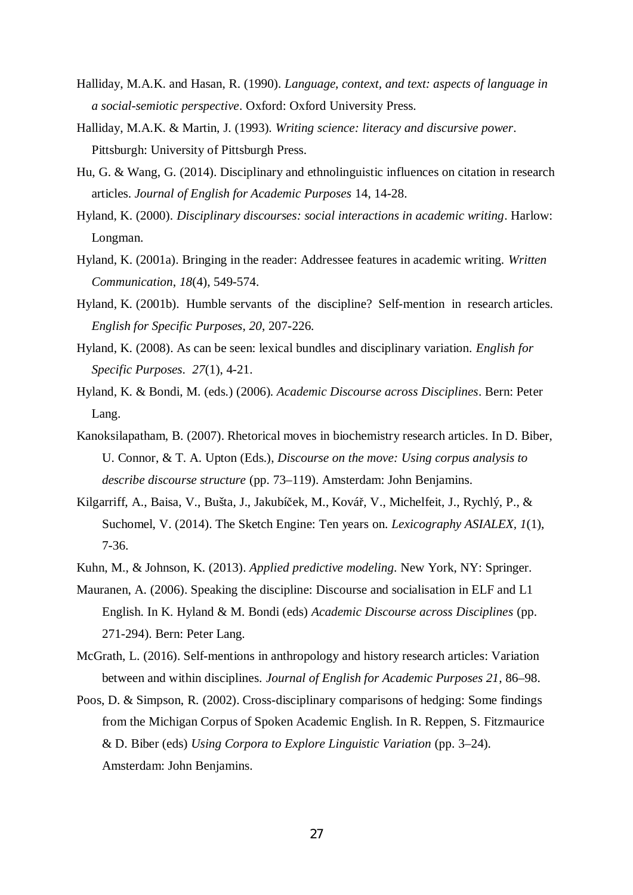- Halliday, M.A.K. and Hasan, R. (1990). *Language, context, and text: aspects of language in a social-semiotic perspective*. Oxford: Oxford University Press.
- Halliday, M.A.K. & Martin, J. (1993). *Writing science: literacy and discursive power*. Pittsburgh: University of Pittsburgh Press.
- Hu, G. & Wang, G. (2014). Disciplinary and ethnolinguistic influences on citation in research articles. *Journal of English for Academic Purposes* 14, 14-28.
- Hyland, K. (2000). *Disciplinary discourses: social interactions in academic writing*. Harlow: Longman.
- Hyland, K. (2001a). Bringing in the reader: Addressee features in academic writing. *Written Communication*, *18*(4), 549-574.
- Hyland, K. (2001b). Humble servants of the discipline? Self-mention in research articles. *English for Specific Purposes*, *20*, 207-226.
- Hyland, K. (2008). As can be seen: lexical bundles and disciplinary variation. *English for Specific Purposes*. *27*(1), 4-21.
- Hyland, K. & Bondi, M. (eds.) (2006). *Academic Discourse across Disciplines*. Bern: Peter Lang.
- Kanoksilapatham, B. (2007). Rhetorical moves in biochemistry research articles. In D. Biber, U. Connor, & T. A. Upton (Eds.), *Discourse on the move: Using corpus analysis to describe discourse structure* (pp. 73–119). Amsterdam: John Benjamins.
- Kilgarriff, A., Baisa, V., Bušta, J., Jakubíček, M., Kovář, V., Michelfeit, J., Rychlý, P., & Suchomel, V. (2014). The Sketch Engine: Ten years on. *Lexicography ASIALEX, 1*(1), 7-36.
- Kuhn, M., & Johnson, K. (2013). *Applied predictive modeling*. New York, NY: Springer.
- Mauranen, A. (2006). Speaking the discipline: Discourse and socialisation in ELF and L1 English. In K. Hyland & M. Bondi (eds) *Academic Discourse across Disciplines* (pp. 271-294). Bern: Peter Lang.
- McGrath, L. (2016). Self-mentions in anthropology and history research articles: Variation between and within disciplines. *Journal of English for Academic Purposes 21*, 86–98.
- Poos, D. & Simpson, R. (2002). Cross-disciplinary comparisons of hedging: Some findings from the Michigan Corpus of Spoken Academic English. In R. Reppen, S. Fitzmaurice & D. Biber (eds) *Using Corpora to Explore Linguistic Variation* (pp. 3–24). Amsterdam: John Benjamins.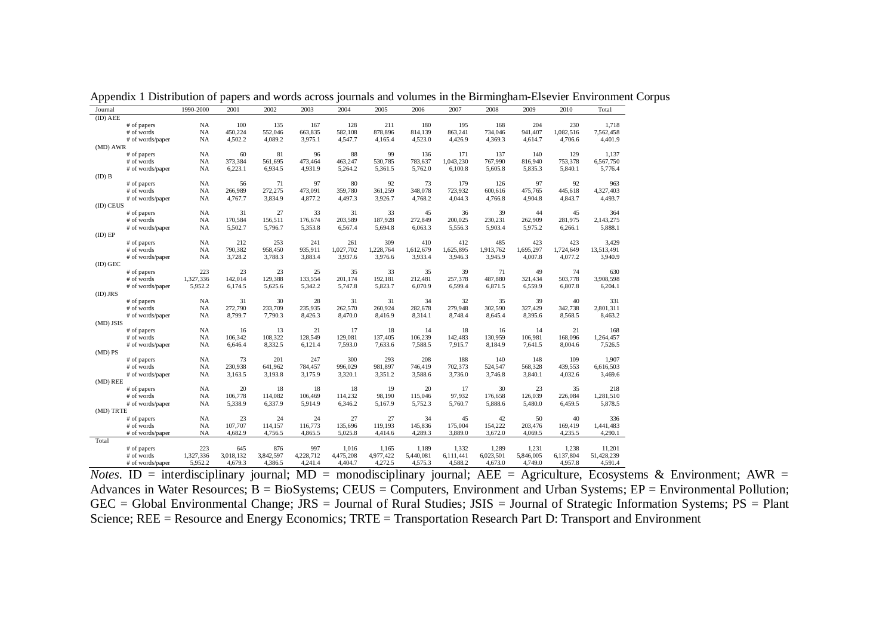| Journal    |                  | 1990-2000 | 2001      | 2002      | 2003      | 2004      | 2005      | 2006      | 2007      | 2008      | 2009      | 2010      | Total      |
|------------|------------------|-----------|-----------|-----------|-----------|-----------|-----------|-----------|-----------|-----------|-----------|-----------|------------|
| (ID) AEE   |                  |           |           |           |           |           |           |           |           |           |           |           |            |
|            | # of papers      | <b>NA</b> | 100       | 135       | 167       | 128       | 211       | 180       | 195       | 168       | 204       | 230       | 1,718      |
|            | # of words       | <b>NA</b> | 450,224   | 552,046   | 663,835   | 582,108   | 878,896   | 814,139   | 863,241   | 734,046   | 941,407   | 1,082,516 | 7,562,458  |
|            | # of words/paper | <b>NA</b> | 4,502.2   | 4,089.2   | 3,975.1   | 4,547.7   | 4,165.4   | 4,523.0   | 4,426.9   | 4.369.3   | 4,614.7   | 4,706.6   | 4,401.9    |
| $(MD)$ AWR |                  |           |           |           |           |           |           |           |           |           |           |           |            |
|            | # of papers      | <b>NA</b> | 60        | 81        | 96        | 88        | 99        | 136       | 171       | 137       | 140       | 129       | 1,137      |
|            | # of words       | NA        | 373,384   | 561,695   | 473,464   | 463,247   | 530,785   | 783,637   | 1,043,230 | 767,990   | 816,940   | 753,378   | 6,567,750  |
|            | # of words/paper | <b>NA</b> | 6,223.1   | 6,934.5   | 4,931.9   | 5,264.2   | 5,361.5   | 5,762.0   | 6,100.8   | 5,605.8   | 5,835.3   | 5,840.1   | 5,776.4    |
| $(ID)$ $B$ |                  |           |           |           |           |           |           |           |           |           |           |           |            |
|            | # of papers      | <b>NA</b> | 56        | 71        | 97        | 80        | 92        | 73        | 179       | 126       | 97        | 92        | 963        |
|            | # of words       | <b>NA</b> | 266,989   | 272,275   | 473,091   | 359,780   | 361,259   | 348,078   | 723,932   | 600,616   | 475,765   | 445,618   | 4,327,403  |
|            | # of words/paper | <b>NA</b> | 4,767.7   | 3,834.9   | 4,877.2   | 4,497.3   | 3,926.7   | 4,768.2   | 4,044.3   | 4,766.8   | 4,904.8   | 4,843.7   | 4,493.7    |
| (ID) CEUS  |                  |           |           |           |           |           |           |           |           |           |           |           |            |
|            | # of papers      | NA        | 31        | 27        | 33        | 31        | 33        | 45        | 36        | 39        | 44        | 45        | 364        |
|            | # of words       | NA        | 170,584   | 156,511   | 176,674   | 203,589   | 187,928   | 272,849   | 200,025   | 230,231   | 262,909   | 281,975   | 2,143,275  |
|            | # of words/paper | NA        | 5,502.7   | 5,796.7   | 5,353.8   | 6,567.4   | 5,694.8   | 6,063.3   | 5,556.3   | 5,903.4   | 5,975.2   | 6,266.1   | 5,888.1    |
| (ID) EP    |                  |           |           |           |           |           |           |           |           |           |           |           |            |
|            | # of papers      | NA        | 212       | 253       | 241       | 261       | 309       | 410       | 412       | 485       | 423       | 423       | 3,429      |
|            | # of words       | NA        | 790,382   | 958,450   | 935.911   | 1,027,702 | 1.228.764 | 1,612,679 | 1.625.895 | 1,913,762 | 1,695,297 | 1,724,649 | 13,513,491 |
|            | # of words/paper | NA        | 3,728.2   | 3,788.3   | 3,883.4   | 3,937.6   | 3,976.6   | 3,933.4   | 3,946.3   | 3,945.9   | 4,007.8   | 4,077.2   | 3,940.9    |
| $(ID)$ GEC |                  |           |           |           |           |           |           |           |           |           |           |           |            |
|            | # of papers      | 223       | 23        | 23        | 25        | 35        | 33        | 35        | 39        | 71        | 49        | 74        | 630        |
|            | # of words       | 1,327,336 | 142,014   | 129,388   | 133,554   | 201,174   | 192,181   | 212,481   | 257,378   | 487,880   | 321,434   | 503,778   | 3,908,598  |
|            | # of words/paper | 5,952.2   | 6,174.5   | 5,625.6   | 5,342.2   | 5,747.8   | 5,823.7   | 6,070.9   | 6,599.4   | 6,871.5   | 6,559.9   | 6,807.8   | 6,204.1    |
| $(ID)$ JRS |                  |           |           |           |           |           |           |           |           |           |           |           |            |
|            | # of papers      | NA        | 31        | 30        | 28        | 31        | 31        | 34        | 32        | 35        | 39        | 40        | 331        |
|            | # of words       | NA        | 272,790   | 233,709   | 235,935   | 262,570   | 260,924   | 282,678   | 279,948   | 302,590   | 327,429   | 342,738   | 2,801,311  |
|            | # of words/paper | <b>NA</b> | 8,799.7   | 7,790.3   | 8,426.3   | 8,470.0   | 8,416.9   | 8,314.1   | 8,748.4   | 8,645.4   | 8,395.6   | 8,568.5   | 8,463.2    |
| (MD) JSIS  |                  |           |           |           |           |           |           |           |           |           |           |           |            |
|            | # of papers      | NA        | 16        | 13        | 21        | 17        | 18        | 14        | 18        | 16        | 14        | 21        | 168        |
|            | # of words       | NA        | 106,342   | 108,322   | 128,549   | 129,081   | 137,405   | 106,239   | 142,483   | 130,959   | 106,981   | 168,096   | 1,264,457  |
|            | # of words/paper | NA        | 6,646.4   | 8,332.5   | 6,121.4   | 7,593.0   | 7,633.6   | 7,588.5   | 7,915.7   | 8,184.9   | 7,641.5   | 8,004.6   | 7,526.5    |
| (MD) PS    |                  |           |           |           |           |           |           |           |           |           |           |           |            |
|            | # of papers      | <b>NA</b> | 73        | 201       | 247       | 300       | 293       | 208       | 188       | 140       | 148       | 109       | 1,907      |
|            | # of words       | NA        | 230,938   | 641,962   | 784,457   | 996,029   | 981,897   | 746,419   | 702,373   | 524,547   | 568,328   | 439,553   | 6,616,503  |
|            | # of words/paper | <b>NA</b> | 3,163.5   | 3,193.8   | 3,175.9   | 3,320.1   | 3,351.2   | 3,588.6   | 3,736.0   | 3,746.8   | 3,840.1   | 4,032.6   | 3,469.6    |
| $(MD)$ REE |                  |           |           |           |           |           |           |           |           |           |           |           |            |
|            | # of papers      | <b>NA</b> | 20        | 18        | 18        | 18        | 19        | 20        | 17        | 30        | 23        | 35        | 218        |
|            | # of words       | <b>NA</b> | 106,778   | 114,082   | 106,469   | 114,232   | 98,190    | 115,046   | 97,932    | 176,658   | 126,039   | 226,084   | 1,281,510  |
|            | # of words/paper | NA        | 5,338.9   | 6,337.9   | 5,914.9   | 6,346.2   | 5,167.9   | 5,752.3   | 5,760.7   | 5,888.6   | 5,480.0   | 6,459.5   | 5,878.5    |
| (MD) TRTE  |                  |           |           |           |           |           |           |           |           |           |           |           |            |
|            | # of papers      | <b>NA</b> | 23        | 24        | 24        | 27        | 27        | 34        | 45        | 42        | 50        | 40        | 336        |
|            | # of words       | NA        | 107,707   | 114,157   | 116,773   | 135,696   | 119,193   | 145,836   | 175,004   | 154,222   | 203,476   | 169,419   | 1,441,483  |
|            | # of words/paper | NA        | 4,682.9   | 4,756.5   | 4,865.5   | 5,025.8   | 4,414.6   | 4,289.3   | 3,889.0   | 3,672.0   | 4,069.5   | 4,235.5   | 4,290.1    |
| Total      |                  |           |           |           |           |           |           |           |           |           |           |           |            |
|            | # of papers      | 223       | 645       | 876       | 997       | 1,016     | 1,165     | 1,189     | 1,332     | 1,289     | 1,231     | 1,238     | 11,201     |
|            | # of words       | 1,327,336 | 3,018,132 | 3,842,597 | 4,228,712 | 4,475,208 | 4,977,422 | 5,440,081 | 6,111,441 | 6,023,501 | 5,846,005 | 6,137,804 | 51,428,239 |
|            | # of words/paper | 5,952.2   | 4,679.3   | 4,386.5   | 4,241.4   | 4,404.7   | 4,272.5   | 4,575.3   | 4,588.2   | 4,673.0   | 4,749.0   | 4,957.8   | 4,591.4    |
|            |                  |           |           |           |           |           |           |           |           |           |           |           |            |

Appendix 1 Distribution of papers and words across journals and volumes in the Birmingham-Elsevier Environment Corpus

 $Note: ID = interdisciplinary journal; MD = monodisciplinary journal; AEE = Agriculture, Ecosystems & Environment; AWR =$ Advances in Water Resources;  $B = BioSystems$ ; CEUS = Computers, Environment and Urban Systems;  $EP = Environmental$  Pollution; GEC = Global Environmental Change; JRS = Journal of Rural Studies; JSIS = Journal of Strategic Information Systems; PS = Plant Science; REE = Resource and Energy Economics; TRTE = Transportation Research Part D: Transport and Environment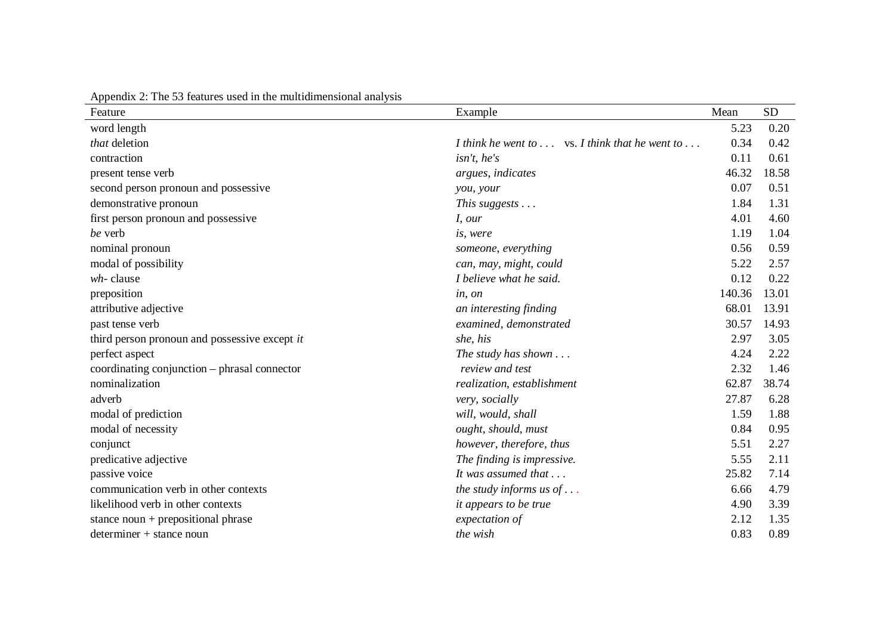| Feature                                       | Example                                                        | Mean   | <b>SD</b> |
|-----------------------------------------------|----------------------------------------------------------------|--------|-----------|
| word length                                   |                                                                | 5.23   | 0.20      |
| that deletion                                 | I think he went to $\dots$ vs. I think that he went to $\dots$ | 0.34   | 0.42      |
| contraction                                   | isn't, he's                                                    | 0.11   | 0.61      |
| present tense verb                            | argues, indicates                                              | 46.32  | 18.58     |
| second person pronoun and possessive          | you, your                                                      | 0.07   | 0.51      |
| demonstrative pronoun                         | This suggests $\ldots$                                         | 1.84   | 1.31      |
| first person pronoun and possessive           | I, our                                                         | 4.01   | 4.60      |
| be verb                                       | is, were                                                       | 1.19   | 1.04      |
| nominal pronoun                               | someone, everything                                            | 0.56   | 0.59      |
| modal of possibility                          | can, may, might, could                                         | 5.22   | 2.57      |
| wh-clause                                     | I believe what he said.                                        | 0.12   | 0.22      |
| preposition                                   | in, on                                                         | 140.36 | 13.01     |
| attributive adjective                         | an interesting finding                                         | 68.01  | 13.91     |
| past tense verb                               | examined, demonstrated                                         | 30.57  | 14.93     |
| third person pronoun and possessive except it | she, his                                                       | 2.97   | 3.05      |
| perfect aspect                                | The study has shown $\ldots$                                   | 4.24   | 2.22      |
| coordinating conjunction – phrasal connector  | review and test                                                | 2.32   | 1.46      |
| nominalization                                | realization, establishment                                     | 62.87  | 38.74     |
| adverb                                        | very, socially                                                 | 27.87  | 6.28      |
| modal of prediction                           | will, would, shall                                             | 1.59   | 1.88      |
| modal of necessity                            | ought, should, must                                            | 0.84   | 0.95      |
| conjunct                                      | however, therefore, thus                                       | 5.51   | 2.27      |
| predicative adjective                         | The finding is impressive.                                     | 5.55   | 2.11      |
| passive voice                                 | It was assumed that $\dots$                                    | 25.82  | 7.14      |
| communication verb in other contexts          | the study informs us of $\ldots$                               | 6.66   | 4.79      |
| likelihood verb in other contexts             | <i>it appears to be true</i>                                   | 4.90   | 3.39      |
| stance $noun + prepositional phrase$          | expectation of                                                 | 2.12   | 1.35      |
| determiner + stance noun                      | the wish                                                       | 0.83   | 0.89      |

Appendix 2: The 53 features used in the multidimensional analysis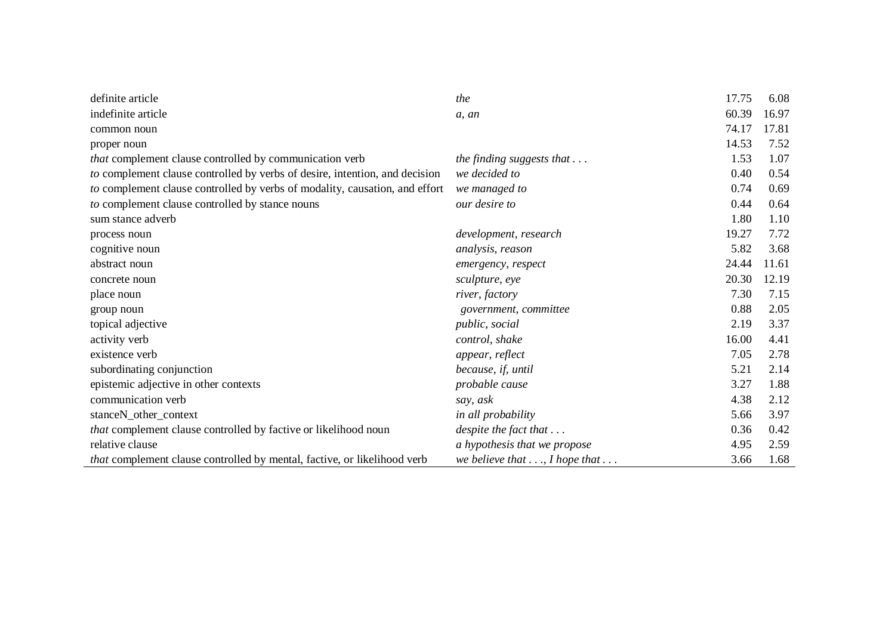| definite article                                                                | the                                           | 17.75 | 6.08  |
|---------------------------------------------------------------------------------|-----------------------------------------------|-------|-------|
| indefinite article                                                              | a, an                                         | 60.39 | 16.97 |
| common noun                                                                     |                                               | 74.17 | 17.81 |
| proper noun                                                                     |                                               | 14.53 | 7.52  |
| <i>that</i> complement clause controlled by communication verb                  | the finding suggests that $\dots$             | 1.53  | 1.07  |
| to complement clause controlled by verbs of desire, intention, and decision     | we decided to                                 | 0.40  | 0.54  |
| to complement clause controlled by verbs of modality, causation, and effort     | we managed to                                 | 0.74  | 0.69  |
| to complement clause controlled by stance nouns                                 | our desire to                                 | 0.44  | 0.64  |
| sum stance adverb                                                               |                                               | 1.80  | 1.10  |
| process noun                                                                    | development, research                         | 19.27 | 7.72  |
| cognitive noun                                                                  | analysis, reason                              | 5.82  | 3.68  |
| abstract noun                                                                   | emergency, respect                            | 24.44 | 11.61 |
| concrete noun                                                                   | sculpture, eye                                | 20.30 | 12.19 |
| place noun                                                                      | river, factory                                | 7.30  | 7.15  |
| group noun                                                                      | government, committee                         | 0.88  | 2.05  |
| topical adjective                                                               | public, social                                | 2.19  | 3.37  |
| activity verb                                                                   | control, shake                                | 16.00 | 4.41  |
| existence verb                                                                  | appear, reflect                               | 7.05  | 2.78  |
| subordinating conjunction                                                       | because, if, until                            | 5.21  | 2.14  |
| epistemic adjective in other contexts                                           | probable cause                                | 3.27  | 1.88  |
| communication verb                                                              | say, ask                                      | 4.38  | 2.12  |
| stanceN_other_context                                                           | in all probability                            | 5.66  | 3.97  |
| that complement clause controlled by factive or likelihood noun                 | despite the fact that $\dots$                 | 0.36  | 0.42  |
| relative clause                                                                 | a hypothesis that we propose                  | 4.95  | 2.59  |
| <i>that</i> complement clause controlled by mental, factive, or likelihood verb | we believe that $\dots$ , I hope that $\dots$ | 3.66  | 1.68  |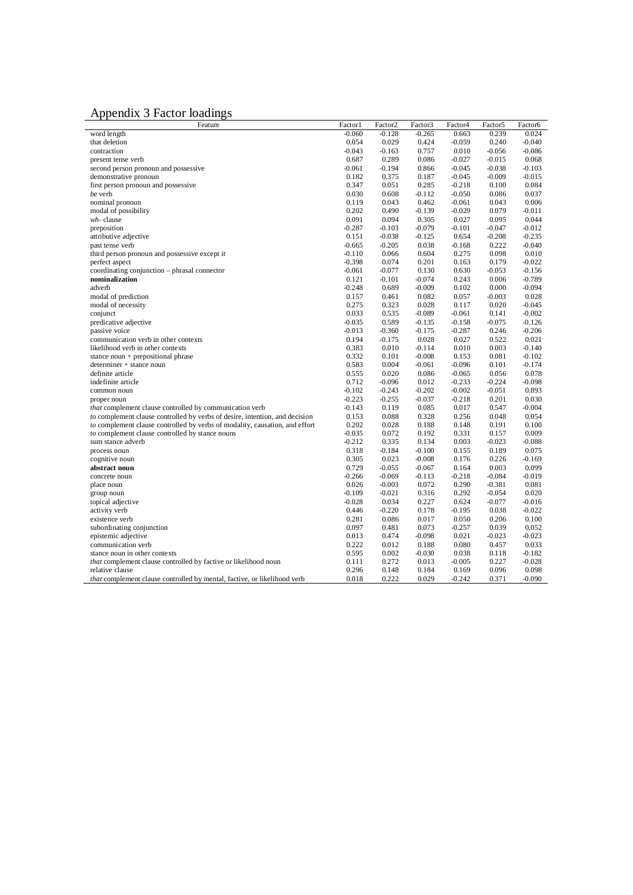# Appendix 3 Factor loadings

| Feature                                                                     | Factorl  | Factor <sub>2</sub> | Factor3  | Factor4  | Factor <sub>5</sub> | Factor <sub>6</sub> |
|-----------------------------------------------------------------------------|----------|---------------------|----------|----------|---------------------|---------------------|
| word length                                                                 | $-0.060$ | $-0.128$            | $-0.265$ | 0.663    | 0.239               | 0.024               |
| that deletion                                                               | 0.054    | 0.029               | 0.424    | $-0.059$ | 0.240               | $-0.040$            |
| contraction                                                                 | $-0.043$ | $-0.163$            | 0.757    | 0.010    | $-0.056$            | $-0.086$            |
| present tense verb                                                          | 0.687    | 0.289               | 0.086    | $-0.027$ | $-0.015$            | 0.068               |
| second person pronoun and possessive                                        | $-0.061$ | $-0.194$            | 0.866    | $-0.045$ | $-0.038$            | $-0.103$            |
| demonstrative pronoun                                                       | 0.182    | 0.375               | 0.187    | $-0.045$ | $-0.009$            | $-0.015$            |
| first person pronoun and possessive                                         | 0.347    | 0.051               | 0.285    | $-0.218$ | 0.100               | 0.084               |
| be verb                                                                     | 0.030    | 0.608               | $-0.112$ | $-0.050$ | 0.086               | 0.037               |
| nominal pronoun                                                             | 0.119    | 0.043               | 0.462    | $-0.061$ | 0.043               | 0.006               |
| modal of possibility                                                        | 0.202    | 0.490               | $-0.139$ | $-0.029$ | 0.079               | $-0.011$            |
| wh-clause                                                                   | 0.091    | 0.094               | 0.305    | 0.027    | 0.095               | 0.044               |
| preposition                                                                 | $-0.287$ | $-0.103$            | $-0.079$ | $-0.101$ | $-0.047$            | $-0.012$            |
| attributive adjective                                                       | 0.151    | $-0.038$            | $-0.125$ | 0.654    | $-0.208$            | $-0.235$            |
| past tense verb                                                             | $-0.665$ | $-0.205$            | 0.038    | $-0.168$ | 0.222               | $-0.040$            |
| third person pronoun and possessive except it                               | $-0.110$ | 0.066               | 0.604    | 0.275    | 0.098               | 0.010               |
| perfect aspect                                                              | $-0.398$ | 0.074               | 0.201    | 0.163    | 0.179               | $-0.022$            |
| coordinating conjunction – phrasal connector                                | $-0.061$ | $-0.077$            | 0.130    | 0.630    | $-0.053$            | $-0.156$            |
| nominalization                                                              | 0.121    | $-0.101$            | $-0.074$ | 0.243    | 0.006               | $-0.789$            |
| adverb                                                                      | $-0.248$ | 0.689               | $-0.009$ | 0.102    | 0.000               | $-0.094$            |
| modal of prediction                                                         | 0.157    | 0.461               | 0.082    | 0.057    | $-0.003$            | 0.028               |
| modal of necessity                                                          | 0.275    | 0.323               | 0.028    | 0.117    | 0.020               | $-0.045$            |
| conjunct                                                                    | 0.033    | 0.535               | $-0.089$ | $-0.061$ | 0.141               | $-0.002$            |
| predicative adjective                                                       | $-0.035$ | 0.589               | $-0.135$ | $-0.158$ | $-0.075$            | $-0.126$            |
| passive voice                                                               | $-0.013$ | $-0.360$            | $-0.175$ | $-0.287$ | 0.246               | $-0.206$            |
| communication verb in other contexts                                        | 0.194    | $-0.175$            | 0.028    | 0.027    | 0.522               | 0.021               |
| likelihood verb in other contexts                                           | 0.383    | 0.010               | $-0.114$ | 0.010    | 0.003               | $-0.140$            |
| stance $noun + prepositional phrase$                                        | 0.332    | 0.101               | $-0.008$ | 0.153    | 0.081               | $-0.102$            |
| determiner + stance noun                                                    | 0.583    | 0.004               | $-0.061$ | $-0.096$ | 0.101               | $-0.174$            |
| definite article                                                            | 0.555    | 0.020               | 0.086    | $-0.065$ | 0.056               | 0.078               |
| indefinite article                                                          | 0.712    | $-0.096$            | 0.012    | $-0.233$ | $-0.224$            | $-0.098$            |
| common noun                                                                 | $-0.102$ | $-0.243$            | $-0.202$ | $-0.002$ | $-0.051$            | 0.893               |
|                                                                             | $-0.223$ | $-0.255$            | $-0.037$ | $-0.218$ | 0.201               | 0.030               |
| proper noun                                                                 | $-0.143$ | 0.119               | 0.085    | 0.017    | 0.547               | $-0.004$            |
| that complement clause controlled by communication verb                     | 0.153    |                     | 0.328    | 0.256    | 0.048               | 0.054               |
| to complement clause controlled by verbs of desire, intention, and decision |          | 0.088               | 0.188    | 0.148    | 0.191               | 0.100               |
| to complement clause controlled by verbs of modality, causation, and effort | 0.202    | 0.028               |          |          |                     |                     |
| to complement clause controlled by stance nouns                             | $-0.035$ | 0.072               | 0.192    | 0.331    | 0.157               | 0.009               |
| sum stance adverb                                                           | $-0.212$ | 0.335               | 0.134    | 0.003    | $-0.023$            | $-0.088$            |
| process noun                                                                | 0.318    | $-0.184$            | $-0.100$ | 0.155    | 0.189               | 0.075               |
| cognitive noun                                                              | 0.305    | 0.023               | $-0.008$ | 0.176    | 0.226               | $-0.169$            |
| abstract noun                                                               | 0.729    | $-0.055$            | $-0.067$ | 0.164    | 0.003               | 0.099               |
| concrete noun                                                               | $-0.266$ | $-0.069$            | $-0.113$ | $-0.218$ | $-0.084$            | $-0.019$            |
| place noun                                                                  | 0.026    | $-0.003$            | 0.072    | 0.290    | $-0.381$            | 0.081               |
| group noun                                                                  | $-0.109$ | $-0.021$            | 0.316    | 0.292    | $-0.054$            | 0.020               |
| topical adjective                                                           | $-0.028$ | 0.034               | 0.227    | 0.624    | $-0.077$            | $-0.016$            |
| activity verb                                                               | 0.446    | $-0.220$            | 0.178    | $-0.195$ | 0.038               | $-0.022$            |
| existence verb                                                              | 0.281    | 0.086               | 0.017    | 0.050    | 0.206               | 0.100               |
| subordinating conjunction                                                   | 0.097    | 0.481               | 0.073    | $-0.257$ | 0.039               | 0.052               |
| epistemic adjective                                                         | 0.013    | 0.474               | $-0.098$ | 0.021    | $-0.023$            | $-0.023$            |
| communication verb                                                          | 0.222    | 0.012               | 0.188    | 0.080    | 0.457               | 0.033               |
| stance noun in other contexts                                               | 0.595    | 0.002               | $-0.030$ | 0.038    | 0.118               | $-0.182$            |
| <i>that</i> complement clause controlled by factive or likelihood noun      | 0.111    | 0.272               | 0.013    | $-0.005$ | 0.227               | $-0.028$            |
| relative clause                                                             | 0.296    | 0.148               | 0.184    | 0.169    | 0.096               | 0.098               |
| that complement clause controlled by mental, factive, or likelihood verb    | 0.018    | 0.222               | 0.029    | $-0.242$ | 0.371               | $-0.090$            |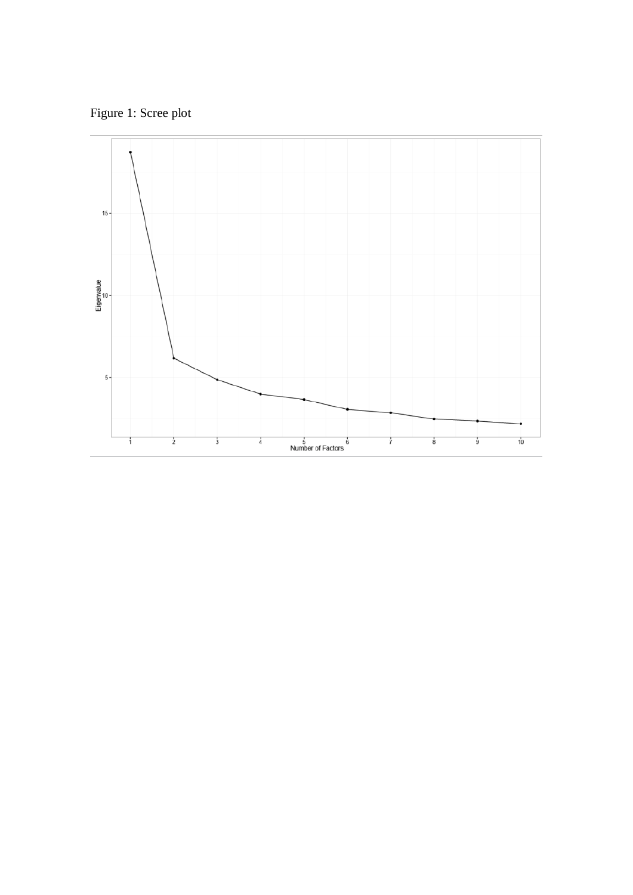Figure 1: Scree plot

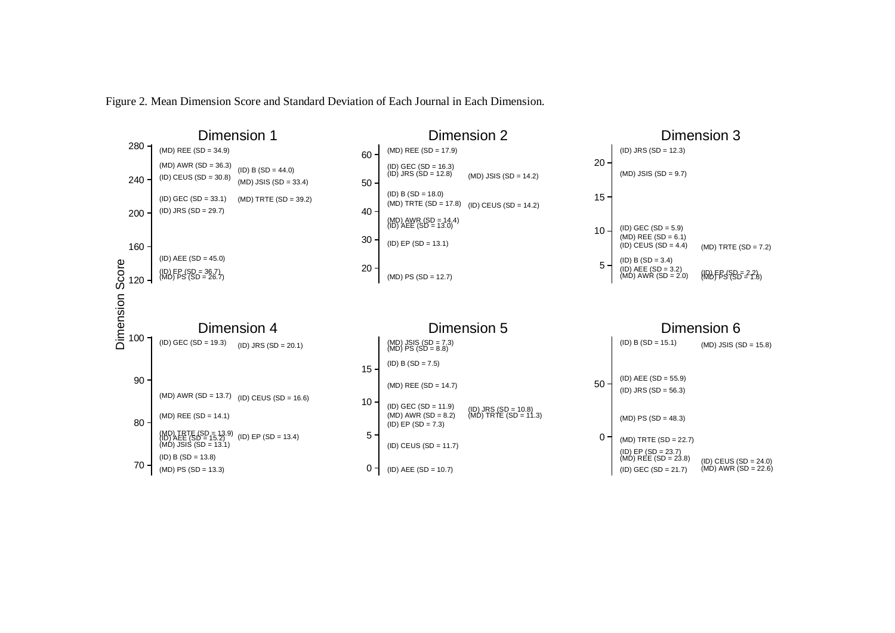Figure 2. Mean Dimension Score and Standard Deviation of Each Journal in Each Dimension.

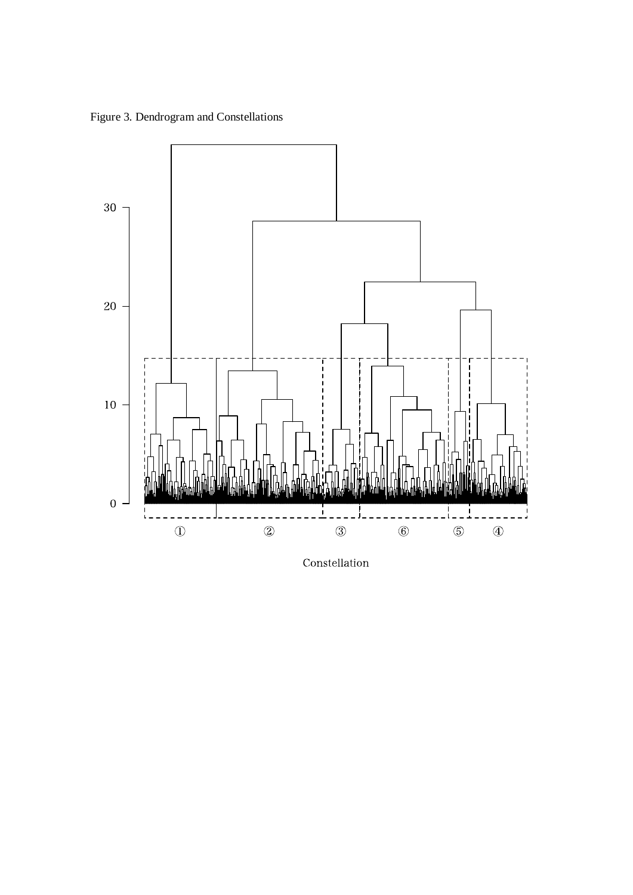Figure 3. Dendrogram and Constellations



Constellation